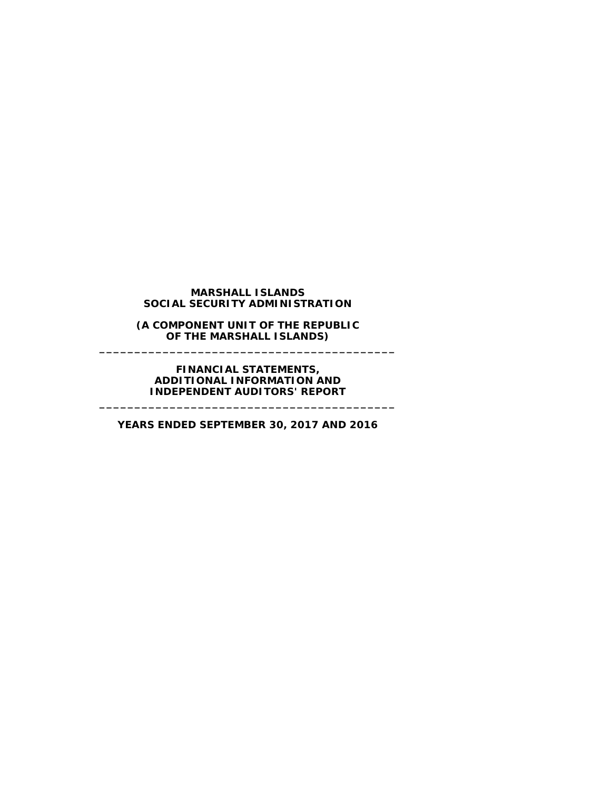# **MARSHALL ISLANDS SOCIAL SECURITY ADMINISTRATION**

**(A COMPONENT UNIT OF THE REPUBLIC OF THE MARSHALL ISLANDS) \_\_\_\_\_\_\_\_\_\_\_\_\_\_\_\_\_\_\_\_\_\_\_\_\_\_\_\_\_\_\_\_\_\_\_\_\_\_\_\_\_\_**

#### **FINANCIAL STATEMENTS, ADDITIONAL INFORMATION AND INDEPENDENT AUDITORS' REPORT**

**YEARS ENDED SEPTEMBER 30, 2017 AND 2016**

**\_\_\_\_\_\_\_\_\_\_\_\_\_\_\_\_\_\_\_\_\_\_\_\_\_\_\_\_\_\_\_\_\_\_\_\_\_\_\_\_\_\_**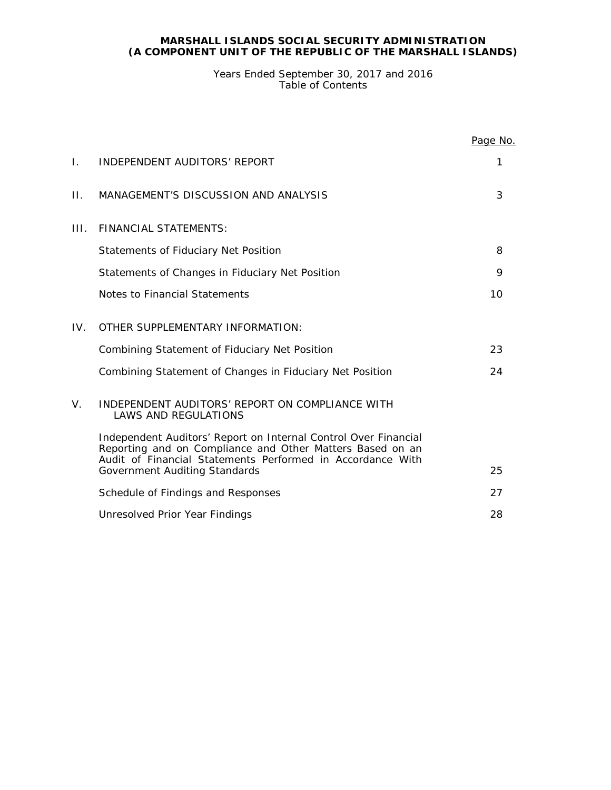# Years Ended September 30, 2017 and 2016 Table of Contents

|      |                                                                                                                                                                                            | Page No. |
|------|--------------------------------------------------------------------------------------------------------------------------------------------------------------------------------------------|----------|
| Ι.   | INDEPENDENT AUDITORS' REPORT                                                                                                                                                               | 1        |
| Н.   | MANAGEMENT'S DISCUSSION AND ANALYSIS                                                                                                                                                       | 3        |
| III. | <b>FINANCIAL STATEMENTS:</b>                                                                                                                                                               |          |
|      | Statements of Fiduciary Net Position                                                                                                                                                       | 8        |
|      | Statements of Changes in Fiduciary Net Position                                                                                                                                            | 9        |
|      | Notes to Financial Statements                                                                                                                                                              | 10       |
| IV.  | OTHER SUPPLEMENTARY INFORMATION:                                                                                                                                                           |          |
|      | Combining Statement of Fiduciary Net Position                                                                                                                                              | 23       |
|      | Combining Statement of Changes in Fiduciary Net Position                                                                                                                                   | 24       |
| V.   | INDEPENDENT AUDITORS' REPORT ON COMPLIANCE WITH<br><b>LAWS AND REGULATIONS</b>                                                                                                             |          |
|      | Independent Auditors' Report on Internal Control Over Financial<br>Reporting and on Compliance and Other Matters Based on an<br>Audit of Financial Statements Performed in Accordance With |          |
|      | <b>Government Auditing Standards</b>                                                                                                                                                       | 25       |
|      | Schedule of Findings and Responses                                                                                                                                                         | 27       |
|      | Unresolved Prior Year Findings                                                                                                                                                             | 28       |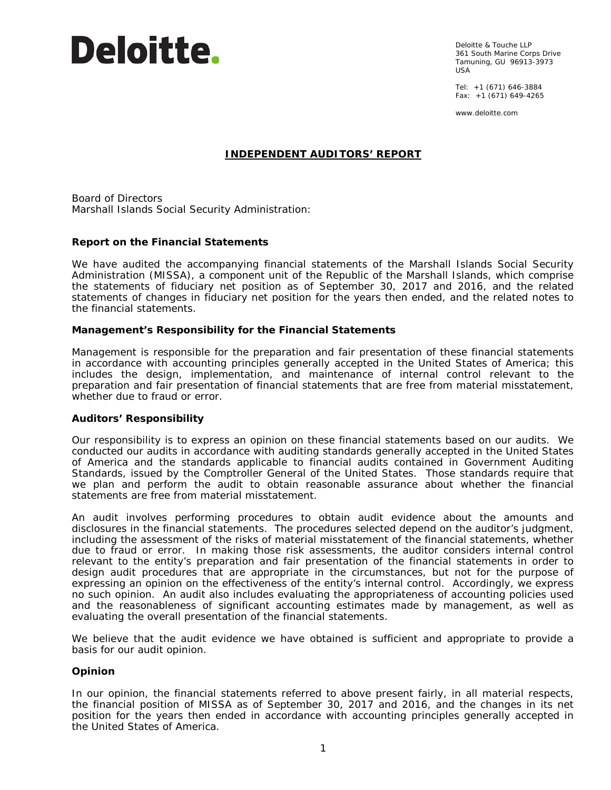

Deloitte & Touche LLP 361 South Marine Corps Drive Tamuning, GU 96913-3973 USA

Tel: +1 (671) 646-3884 Fax: +1 (671) 649-4265

www.deloitte.com

# **INDEPENDENT AUDITORS' REPORT**

Board of Directors Marshall Islands Social Security Administration:

# **Report on the Financial Statements**

We have audited the accompanying financial statements of the Marshall Islands Social Security Administration (MISSA), a component unit of the Republic of the Marshall Islands, which comprise the statements of fiduciary net position as of September 30, 2017 and 2016, and the related statements of changes in fiduciary net position for the years then ended, and the related notes to the financial statements.

# *Management's Responsibility for the Financial Statements*

Management is responsible for the preparation and fair presentation of these financial statements in accordance with accounting principles generally accepted in the United States of America; this includes the design, implementation, and maintenance of internal control relevant to the preparation and fair presentation of financial statements that are free from material misstatement, whether due to fraud or error.

# *Auditors' Responsibility*

Our responsibility is to express an opinion on these financial statements based on our audits. We conducted our audits in accordance with auditing standards generally accepted in the United States of America and the standards applicable to financial audits contained in *Government Auditing Standards*, issued by the Comptroller General of the United States. Those standards require that we plan and perform the audit to obtain reasonable assurance about whether the financial statements are free from material misstatement.

An audit involves performing procedures to obtain audit evidence about the amounts and disclosures in the financial statements. The procedures selected depend on the auditor's judgment, including the assessment of the risks of material misstatement of the financial statements, whether due to fraud or error. In making those risk assessments, the auditor considers internal control relevant to the entity's preparation and fair presentation of the financial statements in order to design audit procedures that are appropriate in the circumstances, but not for the purpose of expressing an opinion on the effectiveness of the entity's internal control. Accordingly, we express no such opinion. An audit also includes evaluating the appropriateness of accounting policies used and the reasonableness of significant accounting estimates made by management, as well as evaluating the overall presentation of the financial statements.

We believe that the audit evidence we have obtained is sufficient and appropriate to provide a basis for our audit opinion.

# *Opinion*

In our opinion, the financial statements referred to above present fairly, in all material respects, the financial position of MISSA as of September 30, 2017 and 2016, and the changes in its net position for the years then ended in accordance with accounting principles generally accepted in the United States of America.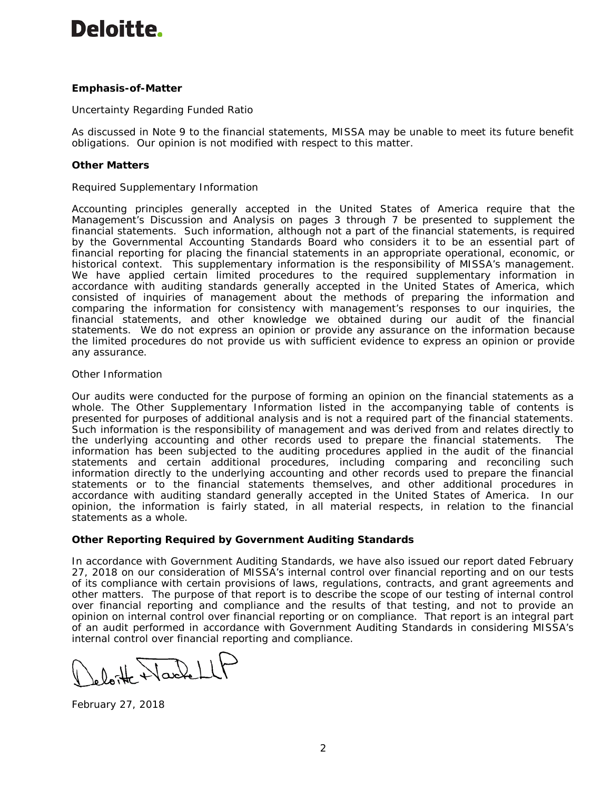# Deloitte.

# *Emphasis-of-Matter*

# *Uncertainty Regarding Funded Ratio*

As discussed in Note 9 to the financial statements, MISSA may be unable to meet its future benefit obligations. Our opinion is not modified with respect to this matter.

# *Other Matters*

# *Required Supplementary Information*

Accounting principles generally accepted in the United States of America require that the Management's Discussion and Analysis on pages 3 through 7 be presented to supplement the financial statements. Such information, although not a part of the financial statements, is required by the Governmental Accounting Standards Board who considers it to be an essential part of financial reporting for placing the financial statements in an appropriate operational, economic, or historical context. This supplementary information is the responsibility of MISSA's management. We have applied certain limited procedures to the required supplementary information in accordance with auditing standards generally accepted in the United States of America, which consisted of inquiries of management about the methods of preparing the information and comparing the information for consistency with management's responses to our inquiries, the financial statements, and other knowledge we obtained during our audit of the financial statements. We do not express an opinion or provide any assurance on the information because the limited procedures do not provide us with sufficient evidence to express an opinion or provide any assurance.

# *Other Information*

Our audits were conducted for the purpose of forming an opinion on the financial statements as a whole. The Other Supplementary Information listed in the accompanying table of contents is presented for purposes of additional analysis and is not a required part of the financial statements. Such information is the responsibility of management and was derived from and relates directly to the underlying accounting and other records used to prepare the financial statements. The information has been subjected to the auditing procedures applied in the audit of the financial statements and certain additional procedures, including comparing and reconciling such information directly to the underlying accounting and other records used to prepare the financial statements or to the financial statements themselves, and other additional procedures in accordance with auditing standard generally accepted in the United States of America. In our opinion, the information is fairly stated, in all material respects, in relation to the financial statements as a whole.

# **Other Reporting Required by** *Government Auditing Standards*

In accordance with *Government Auditing Standards*, we have also issued our report dated February 27, 2018 on our consideration of MISSA's internal control over financial reporting and on our tests of its compliance with certain provisions of laws, regulations, contracts, and grant agreements and other matters. The purpose of that report is to describe the scope of our testing of internal control over financial reporting and compliance and the results of that testing, and not to provide an opinion on internal control over financial reporting or on compliance. That report is an integral part of an audit performed in accordance with *Government Auditing Standards* in considering MISSA's internal control over financial reporting and compliance.

Jackell

February 27, 2018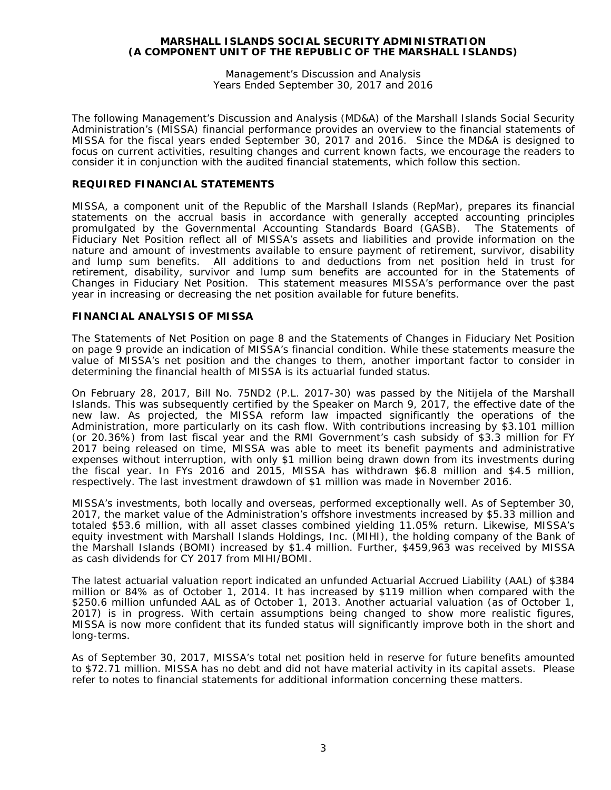Management's Discussion and Analysis Years Ended September 30, 2017 and 2016

The following Management's Discussion and Analysis (MD&A) of the Marshall Islands Social Security Administration's (MISSA) financial performance provides an overview to the financial statements of MISSA for the fiscal years ended September 30, 2017 and 2016. Since the MD&A is designed to focus on current activities, resulting changes and current known facts, we encourage the readers to consider it in conjunction with the audited financial statements, which follow this section.

# **REQUIRED FINANCIAL STATEMENTS**

MISSA, a component unit of the Republic of the Marshall Islands (RepMar), prepares its financial statements on the accrual basis in accordance with generally accepted accounting principles promulgated by the Governmental Accounting Standards Board (GASB). The Statements of Fiduciary Net Position reflect all of MISSA's assets and liabilities and provide information on the nature and amount of investments available to ensure payment of retirement, survivor, disability and lump sum benefits. All additions to and deductions from net position held in trust for retirement, disability, survivor and lump sum benefits are accounted for in the Statements of Changes in Fiduciary Net Position. This statement measures MISSA's performance over the past year in increasing or decreasing the net position available for future benefits.

# **FINANCIAL ANALYSIS OF MISSA**

The Statements of Net Position on page 8 and the Statements of Changes in Fiduciary Net Position on page 9 provide an indication of MISSA's financial condition. While these statements measure the value of MISSA's net position and the changes to them, another important factor to consider in determining the financial health of MISSA is its actuarial funded status.

On February 28, 2017, Bill No. 75ND2 (P.L. 2017-30) was passed by the Nitijela of the Marshall Islands. This was subsequently certified by the Speaker on March 9, 2017, the effective date of the new law. As projected, the MISSA reform law impacted significantly the operations of the Administration, more particularly on its cash flow. With contributions increasing by \$3.101 million (or 20.36%) from last fiscal year and the RMI Government's cash subsidy of \$3.3 million for FY 2017 being released on time, MISSA was able to meet its benefit payments and administrative expenses without interruption, with only \$1 million being drawn down from its investments during the fiscal year. In FYs 2016 and 2015, MISSA has withdrawn \$6.8 million and \$4.5 million, respectively. The last investment drawdown of \$1 million was made in November 2016.

MISSA's investments, both locally and overseas, performed exceptionally well. As of September 30, 2017, the market value of the Administration's offshore investments increased by \$5.33 million and totaled \$53.6 million, with all asset classes combined yielding 11.05% return. Likewise, MISSA's equity investment with Marshall Islands Holdings, Inc. (MIHI), the holding company of the Bank of the Marshall Islands (BOMI) increased by \$1.4 million. Further, \$459,963 was received by MISSA as cash dividends for CY 2017 from MIHI/BOMI.

The latest actuarial valuation report indicated an unfunded Actuarial Accrued Liability (AAL) of \$384 million or 84% as of October 1, 2014. It has increased by \$119 million when compared with the \$250.6 million unfunded AAL as of October 1, 2013. Another actuarial valuation (as of October 1, 2017) is in progress. With certain assumptions being changed to show more realistic figures, MISSA is now more confident that its funded status will significantly improve both in the short and long-terms.

As of September 30, 2017, MISSA's total net position held in reserve for future benefits amounted to \$72.71 million. MISSA has no debt and did not have material activity in its capital assets. Please refer to notes to financial statements for additional information concerning these matters.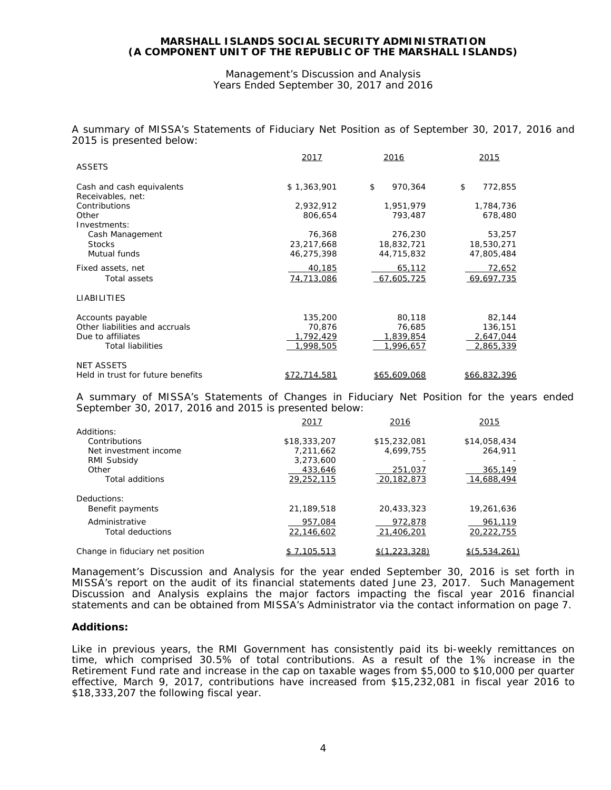Management's Discussion and Analysis Years Ended September 30, 2017 and 2016

A summary of MISSA's Statements of Fiduciary Net Position as of September 30, 2017, 2016 and 2015 is presented below:

| <b>ASSETS</b>                                  | 2017         | 2016          | 2015          |
|------------------------------------------------|--------------|---------------|---------------|
| Cash and cash equivalents<br>Receivables, net: | \$1,363,901  | \$<br>970,364 | \$<br>772,855 |
| Contributions                                  | 2,932,912    | 1,951,979     | 1,784,736     |
| Other                                          | 806,654      | 793,487       | 678,480       |
| Investments:                                   |              |               |               |
| Cash Management                                | 76,368       | 276,230       | 53,257        |
| <b>Stocks</b>                                  | 23,217,668   | 18,832,721    | 18,530,271    |
| Mutual funds                                   | 46,275,398   | 44,715,832    | 47,805,484    |
| Fixed assets, net                              | 40,185       | 65,112        | 72,652        |
| Total assets                                   | 74,713,086   | 67,605,725    | 69,697,735    |
| <b>LIABILITIES</b>                             |              |               |               |
| Accounts payable                               | 135,200      | 80,118        | 82,144        |
| Other liabilities and accruals                 | 70,876       | 76,685        | 136,151       |
| Due to affiliates                              | ,792,429     | 1,839,854     | 2,647,044     |
| <b>Total liabilities</b>                       | 1,998,505    | 1,996,657     | 2,865,339     |
| <b>NET ASSETS</b>                              |              |               |               |
| Held in trust for future benefits              | \$72.714.581 | \$65,609,068  | \$66.832.396  |

A summary of MISSA's Statements of Changes in Fiduciary Net Position for the years ended September 30, 2017, 2016 and 2015 is presented below:

|                                  | 2017         | 2016         | 2015          |
|----------------------------------|--------------|--------------|---------------|
| Additions:                       |              |              |               |
| Contributions                    | \$18,333,207 | \$15,232,081 | \$14,058,434  |
| Net investment income            | 7,211,662    | 4,699,755    | 264.911       |
| RMI Subsidy                      | 3,273,600    |              |               |
| Other                            | 433,646      | 251,037      | 365,149       |
| Total additions                  | 29,252,115   | 20,182,873   | 14,688,494    |
| Deductions:                      |              |              |               |
| Benefit payments                 | 21,189,518   | 20.433.323   | 19,261,636    |
| Administrative                   | 957.084      | 972.878      | 961.119       |
| Total deductions                 | 22,146,602   | 21,406,201   | 20,222,755    |
| Change in fiduciary net position | .105.513     | 223.328)     | \$(5.534.261) |

Management's Discussion and Analysis for the year ended September 30, 2016 is set forth in MISSA's report on the audit of its financial statements dated June 23, 2017. Such Management Discussion and Analysis explains the major factors impacting the fiscal year 2016 financial statements and can be obtained from MISSA's Administrator via the contact information on page 7.

#### **Additions:**

Like in previous years, the RMI Government has consistently paid its bi-weekly remittances on time, which comprised 30.5% of total contributions. As a result of the 1% increase in the Retirement Fund rate and increase in the cap on taxable wages from \$5,000 to \$10,000 per quarter effective, March 9, 2017, contributions have increased from \$15,232,081 in fiscal year 2016 to \$18,333,207 the following fiscal year.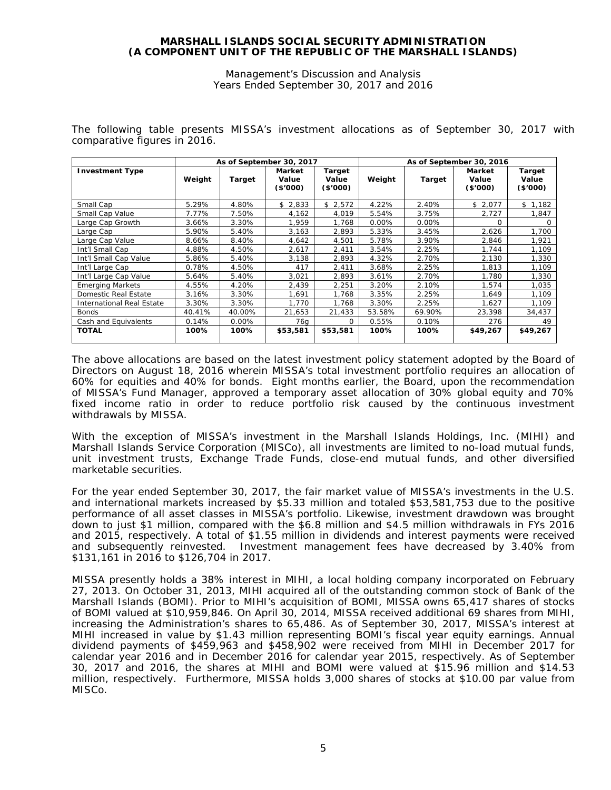Management's Discussion and Analysis Years Ended September 30, 2017 and 2016

The following table presents MISSA's investment allocations as of September 30, 2017 with comparative figures in 2016.

|                           | As of September 30, 2017 |               |                             | As of September 30, 2016    |        |          |                             |                             |
|---------------------------|--------------------------|---------------|-----------------------------|-----------------------------|--------|----------|-----------------------------|-----------------------------|
| <b>Investment Type</b>    | Weight                   | <b>Target</b> | Market<br>Value<br>(\$7000) | Target<br>Value<br>(\$7000) | Weight | Target   | Market<br>Value<br>(\$7000) | Target<br>Value<br>(\$7000) |
| Small Cap                 | 5.29%                    | 4.80%         | \$2,833                     | \$2,572                     | 4.22%  | 2.40%    | \$2,077                     | \$1,182                     |
| Small Cap Value           | 7.77%                    | 7.50%         | 4,162                       | 4,019                       | 5.54%  | 3.75%    | 2,727                       | 1,847                       |
| Large Cap Growth          | 3.66%                    | 3.30%         | 1,959                       | 1.768                       | 0.00%  | $0.00\%$ | $\Omega$                    | <sup>0</sup>                |
| Large Cap                 | 5.90%                    | 5.40%         | 3,163                       | 2,893                       | 5.33%  | 3.45%    | 2,626                       | 1,700                       |
| Large Cap Value           | 8.66%                    | 8.40%         | 4,642                       | 4,501                       | 5.78%  | 3.90%    | 2,846                       | 1,921                       |
| Int'l Small Cap           | 4.88%                    | 4.50%         | 2,617                       | 2,411                       | 3.54%  | 2.25%    | 1,744                       | 1,109                       |
| Int'l Small Cap Value     | 5.86%                    | 5.40%         | 3,138                       | 2,893                       | 4.32%  | 2.70%    | 2,130                       | 1,330                       |
| Int'l Large Cap           | 0.78%                    | 4.50%         | 417                         | 2,411                       | 3.68%  | 2.25%    | 1.813                       | 1,109                       |
| Int'l Large Cap Value     | 5.64%                    | 5.40%         | 3,021                       | 2,893                       | 3.61%  | 2.70%    | 1.780                       | 1,330                       |
| <b>Emerging Markets</b>   | 4.55%                    | 4.20%         | 2,439                       | 2,251                       | 3.20%  | 2.10%    | 1,574                       | 1,035                       |
| Domestic Real Estate      | 3.16%                    | 3.30%         | 1.691                       | 1.768                       | 3.35%  | 2.25%    | 1.649                       | 1,109                       |
| International Real Estate | 3.30%                    | 3.30%         | 1,770                       | 1.768                       | 3.30%  | 2.25%    | 1,627                       | 1,109                       |
| <b>Bonds</b>              | 40.41%                   | 40.00%        | 21,653                      | 21,433                      | 53.58% | 69.90%   | 23,398                      | 34,437                      |
| Cash and Equivalents      | 0.14%                    | $0.00\%$      | 76g                         | $\Omega$                    | 0.55%  | 0.10%    | 276                         | 49                          |
| <b>TOTAL</b>              | 100%                     | 100%          | \$53,581                    | \$53,581                    | 100%   | 100%     | \$49,267                    | \$49,267                    |

The above allocations are based on the latest investment policy statement adopted by the Board of Directors on August 18, 2016 wherein MISSA's total investment portfolio requires an allocation of 60% for equities and 40% for bonds. Eight months earlier, the Board, upon the recommendation of MISSA's Fund Manager, approved a temporary asset allocation of 30% global equity and 70% fixed income ratio in order to reduce portfolio risk caused by the continuous investment withdrawals by MISSA.

With the exception of MISSA's investment in the Marshall Islands Holdings, Inc. (MIHI) and Marshall Islands Service Corporation (MISCo), all investments are limited to no-load mutual funds, unit investment trusts, Exchange Trade Funds, close-end mutual funds, and other diversified marketable securities.

For the year ended September 30, 2017, the fair market value of MISSA's investments in the U.S. and international markets increased by \$5.33 million and totaled \$53,581,753 due to the positive performance of all asset classes in MISSA's portfolio. Likewise, investment drawdown was brought down to just \$1 million, compared with the \$6.8 million and \$4.5 million withdrawals in FYs 2016 and 2015, respectively. A total of \$1.55 million in dividends and interest payments were received and subsequently reinvested. Investment management fees have decreased by 3.40% from \$131,161 in 2016 to \$126,704 in 2017.

MISSA presently holds a 38% interest in MIHI, a local holding company incorporated on February 27, 2013. On October 31, 2013, MIHI acquired all of the outstanding common stock of Bank of the Marshall Islands (BOMI). Prior to MIHI's acquisition of BOMI, MISSA owns 65,417 shares of stocks of BOMI valued at \$10,959,846. On April 30, 2014, MISSA received additional 69 shares from MIHI, increasing the Administration's shares to 65,486. As of September 30, 2017, MISSA's interest at MIHI increased in value by \$1.43 million representing BOMI's fiscal year equity earnings. Annual dividend payments of \$459,963 and \$458,902 were received from MIHI in December 2017 for calendar year 2016 and in December 2016 for calendar year 2015, respectively. As of September 30, 2017 and 2016, the shares at MIHI and BOMI were valued at \$15.96 million and \$14.53 million, respectively. Furthermore, MISSA holds 3,000 shares of stocks at \$10.00 par value from MISCo.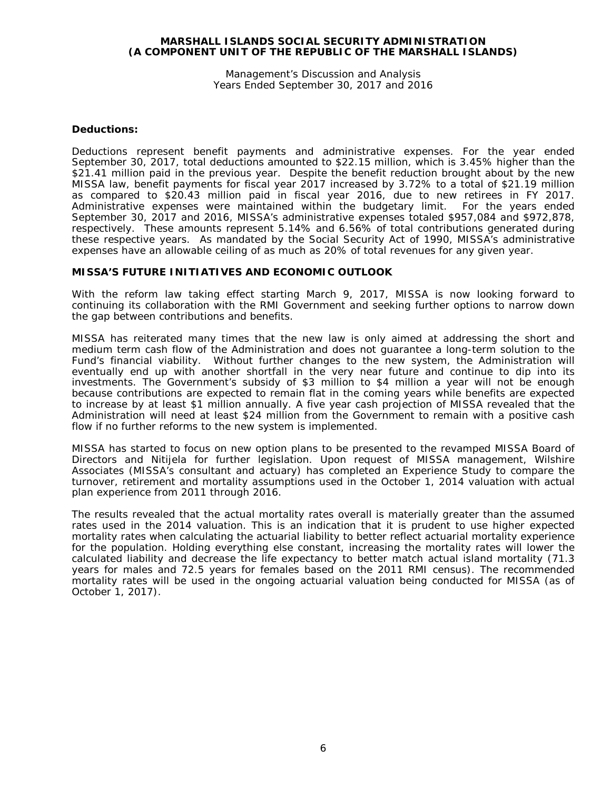Management's Discussion and Analysis Years Ended September 30, 2017 and 2016

# **Deductions:**

Deductions represent benefit payments and administrative expenses. For the year ended September 30, 2017, total deductions amounted to \$22.15 million, which is 3.45% higher than the \$21.41 million paid in the previous year. Despite the benefit reduction brought about by the new MISSA law, benefit payments for fiscal year 2017 increased by 3.72% to a total of \$21.19 million as compared to \$20.43 million paid in fiscal year 2016, due to new retirees in FY 2017. Administrative expenses were maintained within the budgetary limit. For the years ended September 30, 2017 and 2016, MISSA's administrative expenses totaled \$957,084 and \$972,878, respectively. These amounts represent 5.14% and 6.56% of total contributions generated during these respective years. As mandated by the Social Security Act of 1990, MISSA's administrative expenses have an allowable ceiling of as much as 20% of total revenues for any given year.

# **MISSA'S FUTURE INITIATIVES AND ECONOMIC OUTLOOK**

With the reform law taking effect starting March 9, 2017, MISSA is now looking forward to continuing its collaboration with the RMI Government and seeking further options to narrow down the gap between contributions and benefits.

MISSA has reiterated many times that the new law is only aimed at addressing the short and medium term cash flow of the Administration and does not guarantee a long-term solution to the Fund's financial viability. Without further changes to the new system, the Administration will eventually end up with another shortfall in the very near future and continue to dip into its investments. The Government's subsidy of \$3 million to \$4 million a year will not be enough because contributions are expected to remain flat in the coming years while benefits are expected to increase by at least \$1 million annually. A five year cash projection of MISSA revealed that the Administration will need at least \$24 million from the Government to remain with a positive cash flow if no further reforms to the new system is implemented.

MISSA has started to focus on new option plans to be presented to the revamped MISSA Board of Directors and Nitijela for further legislation. Upon request of MISSA management, Wilshire Associates (MISSA's consultant and actuary) has completed an Experience Study to compare the turnover, retirement and mortality assumptions used in the October 1, 2014 valuation with actual plan experience from 2011 through 2016.

The results revealed that the actual mortality rates overall is materially greater than the assumed rates used in the 2014 valuation. This is an indication that it is prudent to use higher expected mortality rates when calculating the actuarial liability to better reflect actuarial mortality experience for the population. Holding everything else constant, increasing the mortality rates will lower the calculated liability and decrease the life expectancy to better match actual island mortality (71.3 years for males and 72.5 years for females based on the 2011 RMI census). The recommended mortality rates will be used in the ongoing actuarial valuation being conducted for MISSA (as of October 1, 2017).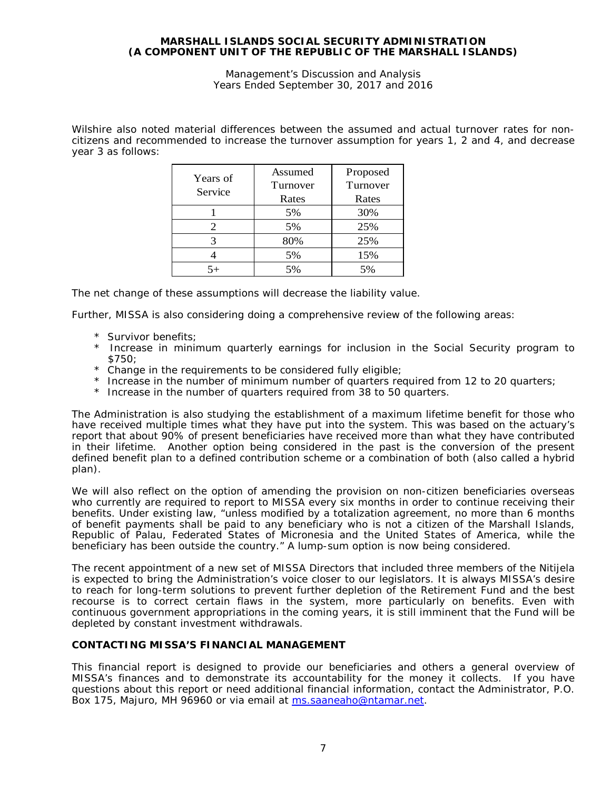# Management's Discussion and Analysis Years Ended September 30, 2017 and 2016

Wilshire also noted material differences between the assumed and actual turnover rates for noncitizens and recommended to increase the turnover assumption for years 1, 2 and 4, and decrease year 3 as follows:

| Years of<br>Service | Assumed<br>Turnover<br>Rates | Proposed<br>Turnover<br>Rates |
|---------------------|------------------------------|-------------------------------|
|                     | 5%                           | 30%                           |
| 2                   | 5%                           | 25%                           |
|                     | 80%                          | 25%                           |
|                     | 5%                           | 15%                           |
|                     | 5%                           | 5%                            |

The net change of these assumptions will decrease the liability value.

Further, MISSA is also considering doing a comprehensive review of the following areas:

- \* Survivor benefits;
- \* Increase in minimum quarterly earnings for inclusion in the Social Security program to \$750;
- \* Change in the requirements to be considered fully eligible;
- \* Increase in the number of minimum number of quarters required from 12 to 20 quarters;
- \* Increase in the number of quarters required from 38 to 50 quarters.

The Administration is also studying the establishment of a maximum lifetime benefit for those who have received multiple times what they have put into the system. This was based on the actuary's report that about 90% of present beneficiaries have received more than what they have contributed in their lifetime. Another option being considered in the past is the conversion of the present defined benefit plan to a defined contribution scheme or a combination of both (also called a hybrid plan).

We will also reflect on the option of amending the provision on non-citizen beneficiaries overseas who currently are required to report to MISSA every six months in order to continue receiving their benefits. Under existing law, "unless modified by a totalization agreement, no more than 6 months of benefit payments shall be paid to any beneficiary who is not a citizen of the Marshall Islands, Republic of Palau, Federated States of Micronesia and the United States of America, while the beneficiary has been outside the country." A lump-sum option is now being considered.

The recent appointment of a new set of MISSA Directors that included three members of the Nitijela is expected to bring the Administration's voice closer to our legislators. It is always MISSA's desire to reach for long-term solutions to prevent further depletion of the Retirement Fund and the best recourse is to correct certain flaws in the system, more particularly on benefits. Even with continuous government appropriations in the coming years, it is still imminent that the Fund will be depleted by constant investment withdrawals.

# **CONTACTING MISSA'S FINANCIAL MANAGEMENT**

This financial report is designed to provide our beneficiaries and others a general overview of MISSA's finances and to demonstrate its accountability for the money it collects. If you have questions about this report or need additional financial information, contact the Administrator, P.O. Box 175, Majuro, MH 96960 or via email at [ms.saaneaho@ntamar.net.](mailto:ms.saaneaho@ntamar.net)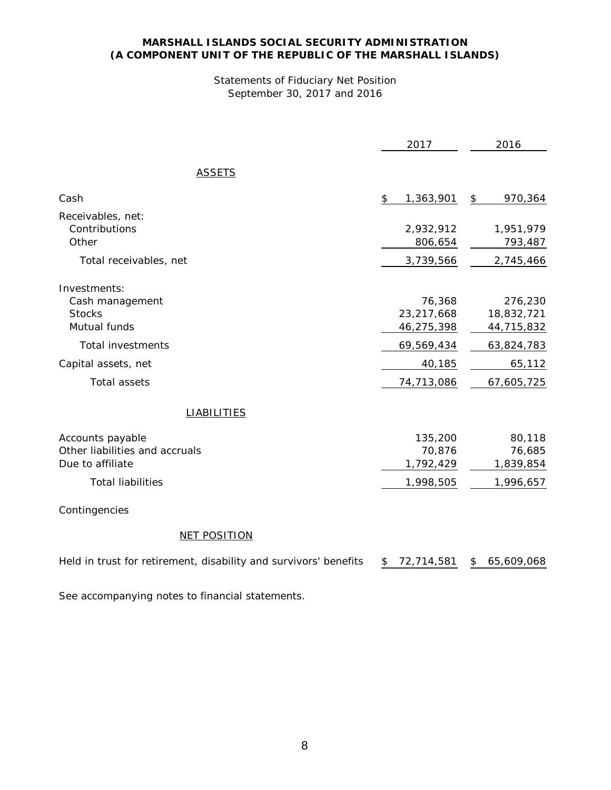# Statements of Fiduciary Net Position September 30, 2017 and 2016

|                                                                                                    | 2017                                        | 2016                                       |
|----------------------------------------------------------------------------------------------------|---------------------------------------------|--------------------------------------------|
| <b>ASSETS</b>                                                                                      |                                             |                                            |
| Cash                                                                                               | \$<br>1,363,901                             | 970,364<br>\$                              |
| Receivables, net:<br>Contributions<br>Other                                                        | 2,932,912<br>806,654                        | 1,951,979<br>793,487                       |
| Total receivables, net                                                                             | 3,739,566                                   | 2,745,466                                  |
| Investments:<br>Cash management<br><b>Stocks</b><br>Mutual funds                                   | 76,368<br>23,217,668<br>46,275,398          | 276,230<br>18,832,721<br>44,715,832        |
| <b>Total investments</b>                                                                           | 69,569,434                                  | 63,824,783                                 |
| Capital assets, net                                                                                | 40,185                                      | 65,112                                     |
| <b>Total assets</b>                                                                                | 74,713,086                                  | 67,605,725                                 |
| <b>LIABILITIES</b>                                                                                 |                                             |                                            |
| Accounts payable<br>Other liabilities and accruals<br>Due to affiliate<br><b>Total liabilities</b> | 135,200<br>70,876<br>1,792,429<br>1,998,505 | 80,118<br>76,685<br>1,839,854<br>1,996,657 |
| Contingencies                                                                                      |                                             |                                            |
| <b>NET POSITION</b>                                                                                |                                             |                                            |
| Held in trust for retirement, disability and survivors' benefits                                   | 72,714,581<br>\$                            | 65,609,068<br>\$                           |

See accompanying notes to financial statements.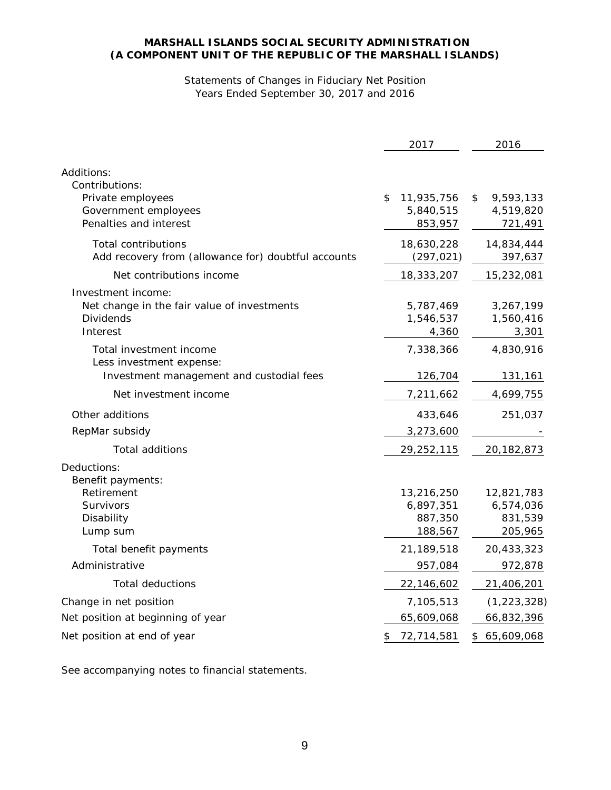# Statements of Changes in Fiduciary Net Position Years Ended September 30, 2017 and 2016

|                                                                                                   | 2017                                          | 2016                                          |
|---------------------------------------------------------------------------------------------------|-----------------------------------------------|-----------------------------------------------|
| Additions:<br>Contributions:                                                                      |                                               |                                               |
| Private employees<br>Government employees<br>Penalties and interest                               | \$<br>11,935,756<br>5,840,515<br>853,957      | 9,593,133<br>\$<br>4,519,820<br>721,491       |
| Total contributions<br>Add recovery from (allowance for) doubtful accounts                        | 18,630,228<br>(297, 021)                      | 14,834,444<br>397,637                         |
| Net contributions income                                                                          | 18,333,207                                    | 15,232,081                                    |
| Investment income:<br>Net change in the fair value of investments<br><b>Dividends</b><br>Interest | 5,787,469<br>1,546,537<br>4,360               | 3,267,199<br>1,560,416<br>3,301               |
| Total investment income<br>Less investment expense:<br>Investment management and custodial fees   | 7,338,366<br>126,704                          | 4,830,916<br>131,161                          |
| Net investment income                                                                             | 7,211,662                                     | 4,699,755                                     |
| Other additions                                                                                   | 433,646                                       | 251,037                                       |
| RepMar subsidy                                                                                    | 3,273,600                                     |                                               |
| Total additions                                                                                   | 29,252,115                                    | 20,182,873                                    |
| Deductions:<br>Benefit payments:                                                                  |                                               |                                               |
| Retirement<br>Survivors<br>Disability<br>Lump sum                                                 | 13,216,250<br>6,897,351<br>887,350<br>188,567 | 12,821,783<br>6,574,036<br>831,539<br>205,965 |
| Total benefit payments                                                                            | 21,189,518                                    | 20,433,323                                    |
| Administrative                                                                                    | 957,084                                       | 972,878                                       |
| <b>Total deductions</b>                                                                           | 22,146,602                                    | 21,406,201                                    |
| Change in net position                                                                            | 7,105,513                                     | (1, 223, 328)                                 |
| Net position at beginning of year                                                                 | 65,609,068                                    | 66,832,396                                    |
| Net position at end of year                                                                       | 72,714,581<br>\$                              | 65,609,068<br>\$                              |

See accompanying notes to financial statements.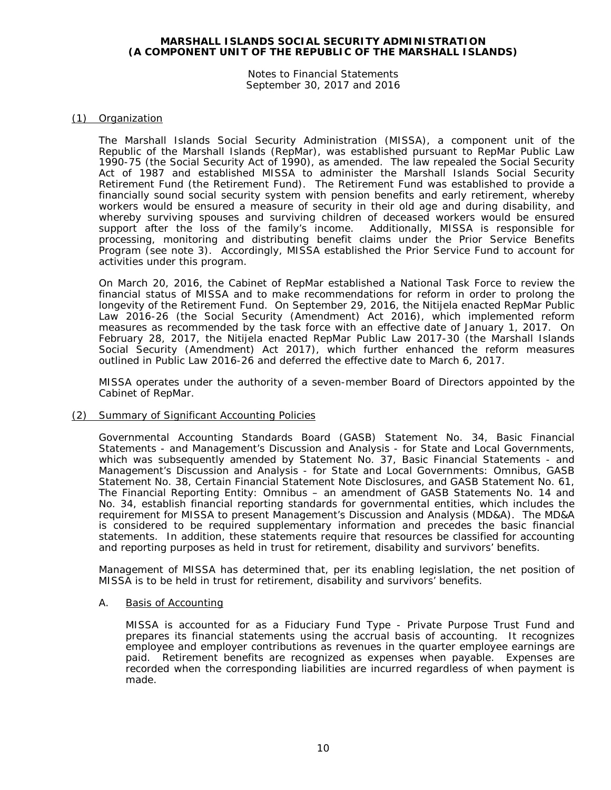Notes to Financial Statements September 30, 2017 and 2016

#### (1) Organization

The Marshall Islands Social Security Administration (MISSA), a component unit of the Republic of the Marshall Islands (RepMar), was established pursuant to RepMar Public Law 1990-75 (the Social Security Act of 1990), as amended. The law repealed the Social Security Act of 1987 and established MISSA to administer the Marshall Islands Social Security Retirement Fund (the Retirement Fund). The Retirement Fund was established to provide a financially sound social security system with pension benefits and early retirement, whereby workers would be ensured a measure of security in their old age and during disability, and whereby surviving spouses and surviving children of deceased workers would be ensured support after the loss of the family's income. Additionally, MISSA is responsible for processing, monitoring and distributing benefit claims under the Prior Service Benefits Program (see note 3). Accordingly, MISSA established the Prior Service Fund to account for activities under this program.

On March 20, 2016, the Cabinet of RepMar established a National Task Force to review the financial status of MISSA and to make recommendations for reform in order to prolong the longevity of the Retirement Fund. On September 29, 2016, the Nitijela enacted RepMar Public Law 2016-26 (the Social Security (Amendment) Act 2016), which implemented reform measures as recommended by the task force with an effective date of January 1, 2017. On February 28, 2017, the Nitijela enacted RepMar Public Law 2017-30 (the Marshall Islands Social Security (Amendment) Act 2017), which further enhanced the reform measures outlined in Public Law 2016-26 and deferred the effective date to March 6, 2017.

MISSA operates under the authority of a seven-member Board of Directors appointed by the Cabinet of RepMar.

# (2) Summary of Significant Accounting Policies

Governmental Accounting Standards Board (GASB) Statement No. 34, *Basic Financial Statements - and Management's Discussion and Analysis - for State and Local Governments*, which was subsequently amended by Statement No. 37, *Basic Financial Statements - and Management's Discussion and Analysis - for State and Local Governments: Omnibus*, GASB Statement No. 38, *Certain Financial Statement Note Disclosures,* and GASB Statement No. 61, *The Financial Reporting Entity: Omnibus – an amendment of GASB Statements No. 14 and No. 34*, establish financial reporting standards for governmental entities, which includes the requirement for MISSA to present Management's Discussion and Analysis (MD&A). The MD&A is considered to be required supplementary information and precedes the basic financial statements. In addition, these statements require that resources be classified for accounting and reporting purposes as held in trust for retirement, disability and survivors' benefits.

Management of MISSA has determined that, per its enabling legislation, the net position of MISSA is to be held in trust for retirement, disability and survivors' benefits.

#### A. Basis of Accounting

MISSA is accounted for as a Fiduciary Fund Type - Private Purpose Trust Fund and prepares its financial statements using the accrual basis of accounting. It recognizes employee and employer contributions as revenues in the quarter employee earnings are paid. Retirement benefits are recognized as expenses when payable. Expenses are recorded when the corresponding liabilities are incurred regardless of when payment is made.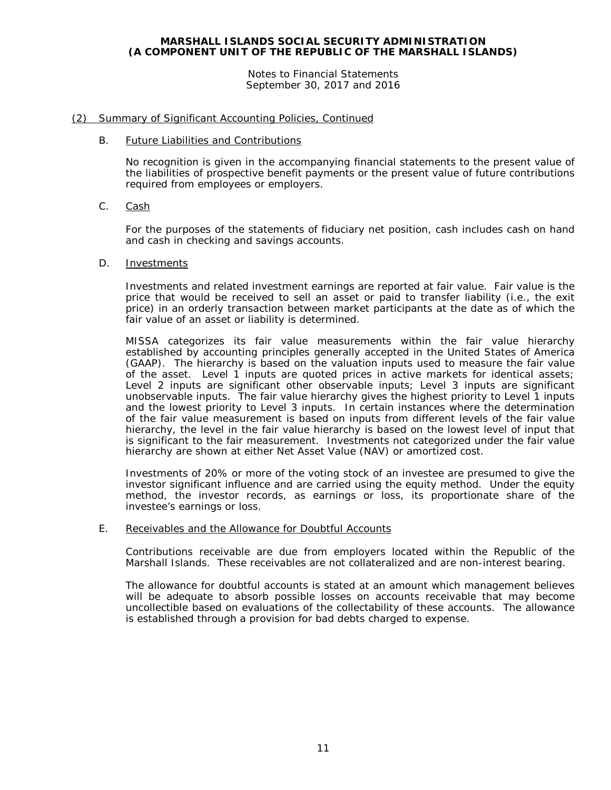Notes to Financial Statements September 30, 2017 and 2016

# (2) Summary of Significant Accounting Policies, Continued

#### B. Future Liabilities and Contributions

No recognition is given in the accompanying financial statements to the present value of the liabilities of prospective benefit payments or the present value of future contributions required from employees or employers.

# C. Cash

For the purposes of the statements of fiduciary net position, cash includes cash on hand and cash in checking and savings accounts.

#### D. Investments

Investments and related investment earnings are reported at fair value. Fair value is the price that would be received to sell an asset or paid to transfer liability (i.e., the exit price) in an orderly transaction between market participants at the date as of which the fair value of an asset or liability is determined.

MISSA categorizes its fair value measurements within the fair value hierarchy established by accounting principles generally accepted in the United States of America (GAAP). The hierarchy is based on the valuation inputs used to measure the fair value of the asset. Level 1 inputs are quoted prices in active markets for identical assets; Level 2 inputs are significant other observable inputs; Level 3 inputs are significant unobservable inputs. The fair value hierarchy gives the highest priority to Level 1 inputs and the lowest priority to Level 3 inputs. In certain instances where the determination of the fair value measurement is based on inputs from different levels of the fair value hierarchy, the level in the fair value hierarchy is based on the lowest level of input that is significant to the fair measurement. Investments not categorized under the fair value hierarchy are shown at either Net Asset Value (NAV) or amortized cost.

Investments of 20% or more of the voting stock of an investee are presumed to give the investor significant influence and are carried using the equity method. Under the equity method, the investor records, as earnings or loss, its proportionate share of the investee's earnings or loss.

#### E. Receivables and the Allowance for Doubtful Accounts

Contributions receivable are due from employers located within the Republic of the Marshall Islands. These receivables are not collateralized and are non-interest bearing.

The allowance for doubtful accounts is stated at an amount which management believes will be adequate to absorb possible losses on accounts receivable that may become uncollectible based on evaluations of the collectability of these accounts. The allowance is established through a provision for bad debts charged to expense.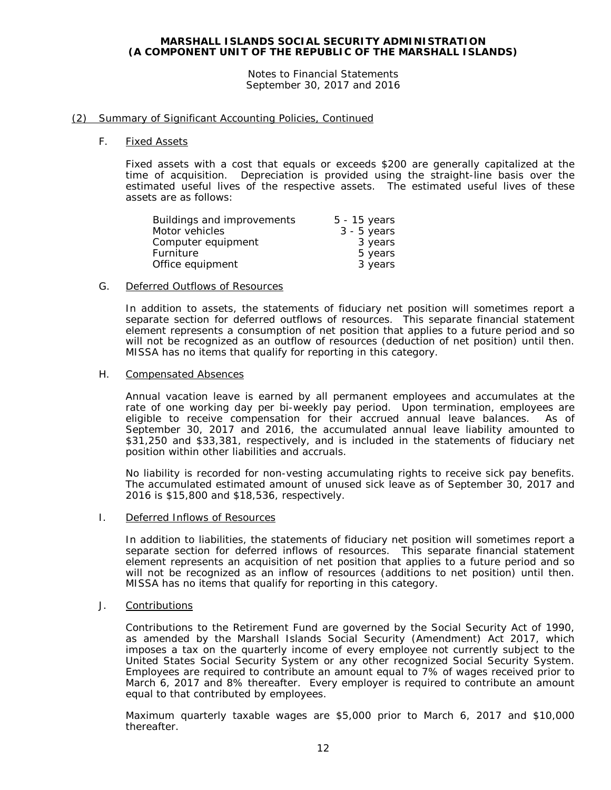Notes to Financial Statements September 30, 2017 and 2016

# (2) Summary of Significant Accounting Policies, Continued

#### F. Fixed Assets

Fixed assets with a cost that equals or exceeds \$200 are generally capitalized at the time of acquisition. Depreciation is provided using the straight-line basis over the estimated useful lives of the respective assets. The estimated useful lives of these assets are as follows:

| Buildings and improvements | 5 - 15 years  |
|----------------------------|---------------|
| Motor vehicles             | $3 - 5$ years |
| Computer equipment         | 3 years       |
| Furniture                  | 5 years       |
| Office equipment           | 3 years       |

#### G. Deferred Outflows of Resources

In addition to assets, the statements of fiduciary net position will sometimes report a separate section for deferred outflows of resources. This separate financial statement element represents a consumption of net position that applies to a future period and so will not be recognized as an outflow of resources (deduction of net position) until then. MISSA has no items that qualify for reporting in this category.

#### H. Compensated Absences

Annual vacation leave is earned by all permanent employees and accumulates at the rate of one working day per bi-weekly pay period. Upon termination, employees are eligible to receive compensation for their accrued annual leave balances. As of September 30, 2017 and 2016, the accumulated annual leave liability amounted to \$31,250 and \$33,381, respectively, and is included in the statements of fiduciary net position within other liabilities and accruals.

No liability is recorded for non-vesting accumulating rights to receive sick pay benefits. The accumulated estimated amount of unused sick leave as of September 30, 2017 and 2016 is \$15,800 and \$18,536, respectively.

# I. Deferred Inflows of Resources

In addition to liabilities, the statements of fiduciary net position will sometimes report a separate section for deferred inflows of resources. This separate financial statement element represents an acquisition of net position that applies to a future period and so will not be recognized as an inflow of resources (additions to net position) until then. MISSA has no items that qualify for reporting in this category.

#### J. Contributions

Contributions to the Retirement Fund are governed by the Social Security Act of 1990, as amended by the Marshall Islands Social Security (Amendment) Act 2017, which imposes a tax on the quarterly income of every employee not currently subject to the United States Social Security System or any other recognized Social Security System. Employees are required to contribute an amount equal to 7% of wages received prior to March 6, 2017 and 8% thereafter. Every employer is required to contribute an amount equal to that contributed by employees.

Maximum quarterly taxable wages are \$5,000 prior to March 6, 2017 and \$10,000 thereafter.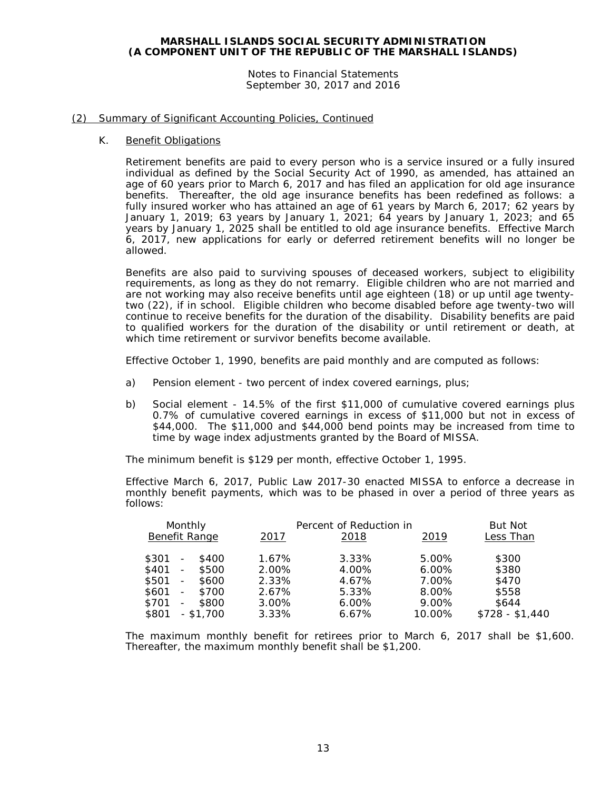Notes to Financial Statements September 30, 2017 and 2016

# (2) Summary of Significant Accounting Policies, Continued

#### K. Benefit Obligations

Retirement benefits are paid to every person who is a service insured or a fully insured individual as defined by the Social Security Act of 1990, as amended, has attained an age of 60 years prior to March 6, 2017 and has filed an application for old age insurance benefits. Thereafter, the old age insurance benefits has been redefined as follows: a fully insured worker who has attained an age of 61 years by March 6, 2017; 62 years by January 1, 2019; 63 years by January 1, 2021; 64 years by January 1, 2023; and 65 years by January 1, 2025 shall be entitled to old age insurance benefits. Effective March 6, 2017, new applications for early or deferred retirement benefits will no longer be allowed.

Benefits are also paid to surviving spouses of deceased workers, subject to eligibility requirements, as long as they do not remarry. Eligible children who are not married and are not working may also receive benefits until age eighteen (18) or up until age twentytwo (22), if in school. Eligible children who become disabled before age twenty-two will continue to receive benefits for the duration of the disability. Disability benefits are paid to qualified workers for the duration of the disability or until retirement or death, at which time retirement or survivor benefits become available.

Effective October 1, 1990, benefits are paid monthly and are computed as follows:

- a) Pension element two percent of index covered earnings, plus;
- b) Social element 14.5% of the first \$11,000 of cumulative covered earnings plus 0.7% of cumulative covered earnings in excess of \$11,000 but not in excess of \$44,000. The \$11,000 and \$44,000 bend points may be increased from time to time by wage index adjustments granted by the Board of MISSA.

The minimum benefit is \$129 per month, effective October 1, 1995.

Effective March 6, 2017, Public Law 2017-30 enacted MISSA to enforce a decrease in monthly benefit payments, which was to be phased in over a period of three years as follows:

| Benefit Range           | Monthly                                              |                         | 2017 |                         | Percent of Reduction in<br>2018 | 2019                       | <b>But Not</b><br>Less Than |  |
|-------------------------|------------------------------------------------------|-------------------------|------|-------------------------|---------------------------------|----------------------------|-----------------------------|--|
| \$301<br>\$401<br>\$501 | $\blacksquare$<br>$\blacksquare$<br>$\blacksquare$   | \$400<br>\$500<br>\$600 |      | 1.67%<br>2.00%<br>2.33% | 3.33%<br>4.00%<br>4.67%         | 5.00%<br>$6.00\%$<br>7.00% | \$300<br>\$380<br>\$470     |  |
| \$601<br>\$701          | $\overline{\phantom{0}}$<br>$\overline{\phantom{a}}$ | \$700<br>\$800          |      | 2.67%<br>$3.00\%$       | 5.33%<br>$6.00\%$               | 8.00%<br>9.00%             | \$558<br>\$644              |  |
| \$801                   |                                                      | $-$ \$1.700             |      | 3.33%                   | 6.67%                           | 10.00%                     | $$728 - $1,440$             |  |

The maximum monthly benefit for retirees prior to March 6, 2017 shall be \$1,600. Thereafter, the maximum monthly benefit shall be \$1,200.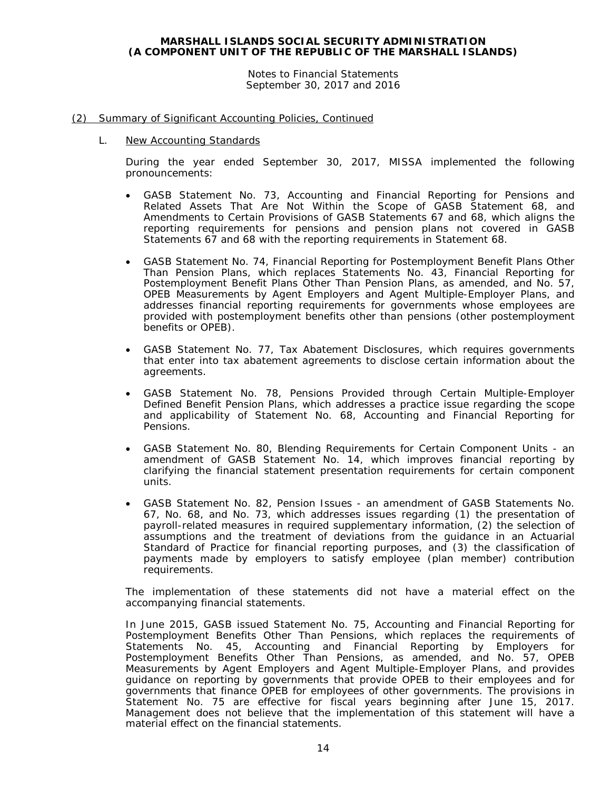Notes to Financial Statements September 30, 2017 and 2016

# (2) Summary of Significant Accounting Policies, Continued

L. New Accounting Standards

During the year ended September 30, 2017, MISSA implemented the following pronouncements:

- GASB Statement No. 73, *Accounting and Financial Reporting for Pensions and Related Assets That Are Not Within the Scope of GASB Statement 68, and Amendments to Certain Provisions of GASB Statements 67 and 68*, which aligns the reporting requirements for pensions and pension plans not covered in GASB Statements 67 and 68 with the reporting requirements in Statement 68.
- GASB Statement No. 74, *Financial Reporting for Postemployment Benefit Plans Other Than Pension Plans*, which replaces Statements No. 43, *Financial Reporting for Postemployment Benefit Plans Other Than Pension Plans, as amended,* and No. 57, *OPEB Measurements by Agent Employers and Agent Multiple-Employer Plans*, and addresses financial reporting requirements for governments whose employees are provided with postemployment benefits other than pensions (other postemployment benefits or OPEB).
- GASB Statement No. 77, *Tax Abatement Disclosures*, which requires governments that enter into tax abatement agreements to disclose certain information about the agreements.
- GASB Statement No. 78, *Pensions Provided through Certain Multiple-Employer Defined Benefit Pension Plans*, which addresses a practice issue regarding the scope and applicability of Statement No. 68, *Accounting and Financial Reporting for Pensions*.
- GASB Statement No. 80, *Blending Requirements for Certain Component Units - an amendment of GASB Statement No. 14*, which improves financial reporting by clarifying the financial statement presentation requirements for certain component units.
- GASB Statement No. 82, *Pension Issues - an amendment of GASB Statements No. 67, No. 68, and No. 73*, which addresses issues regarding (1) the presentation of payroll-related measures in required supplementary information, (2) the selection of assumptions and the treatment of deviations from the guidance in an Actuarial Standard of Practice for financial reporting purposes, and (3) the classification of payments made by employers to satisfy employee (plan member) contribution requirements.

The implementation of these statements did not have a material effect on the accompanying financial statements.

In June 2015, GASB issued Statement No. 75, *Accounting and Financial Reporting for Postemployment Benefits Other Than Pensions*, which replaces the requirements of Statements No. 45, *Accounting and Financial Reporting by Employers for Postemployment Benefits Other Than Pensions*, as amended, and No. 57, *OPEB Measurements by Agent Employers and Agent Multiple-Employer Plans*, and provides guidance on reporting by governments that provide OPEB to their employees and for governments that finance OPEB for employees of other governments. The provisions in Statement No. 75 are effective for fiscal years beginning after June 15, 2017. Management does not believe that the implementation of this statement will have a material effect on the financial statements.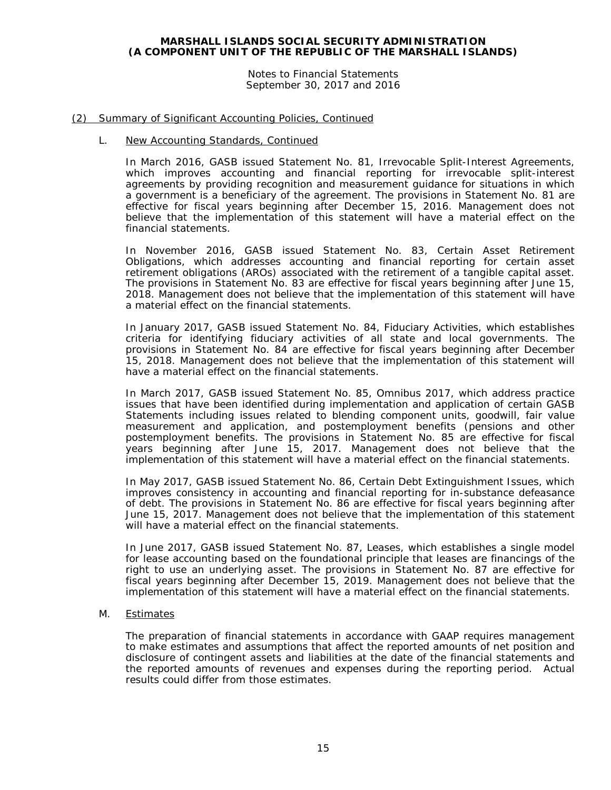Notes to Financial Statements September 30, 2017 and 2016

# (2) Summary of Significant Accounting Policies, Continued

#### L. New Accounting Standards, Continued

In March 2016, GASB issued Statement No. 81, *Irrevocable Split-Interest Agreements,*  which improves accounting and financial reporting for irrevocable split-interest agreements by providing recognition and measurement guidance for situations in which a government is a beneficiary of the agreement. The provisions in Statement No. 81 are effective for fiscal years beginning after December 15, 2016. Management does not believe that the implementation of this statement will have a material effect on the financial statements.

In November 2016, GASB issued Statement No. 83, *Certain Asset Retirement Obligations*, which addresses accounting and financial reporting for certain asset retirement obligations (AROs) associated with the retirement of a tangible capital asset. The provisions in Statement No. 83 are effective for fiscal years beginning after June 15, 2018. Management does not believe that the implementation of this statement will have a material effect on the financial statements.

In January 2017, GASB issued Statement No. 84, *Fiduciary Activities*, which establishes criteria for identifying fiduciary activities of all state and local governments. The provisions in Statement No. 84 are effective for fiscal years beginning after December 15, 2018. Management does not believe that the implementation of this statement will have a material effect on the financial statements.

In March 2017, GASB issued Statement No. 85, *Omnibus 2017*, which address practice issues that have been identified during implementation and application of certain GASB Statements including issues related to blending component units, goodwill, fair value measurement and application, and postemployment benefits (pensions and other postemployment benefits. The provisions in Statement No. 85 are effective for fiscal years beginning after June 15, 2017. Management does not believe that the implementation of this statement will have a material effect on the financial statements.

In May 2017, GASB issued Statement No. 86, *Certain Debt Extinguishment Issues*, which improves consistency in accounting and financial reporting for in-substance defeasance of debt. The provisions in Statement No. 86 are effective for fiscal years beginning after June 15, 2017. Management does not believe that the implementation of this statement will have a material effect on the financial statements.

In June 2017, GASB issued Statement No. 87, *Leases*, which establishes a single model for lease accounting based on the foundational principle that leases are financings of the right to use an underlying asset. The provisions in Statement No. 87 are effective for fiscal years beginning after December 15, 2019. Management does not believe that the implementation of this statement will have a material effect on the financial statements.

# M. Estimates

The preparation of financial statements in accordance with GAAP requires management to make estimates and assumptions that affect the reported amounts of net position and disclosure of contingent assets and liabilities at the date of the financial statements and the reported amounts of revenues and expenses during the reporting period. Actual results could differ from those estimates.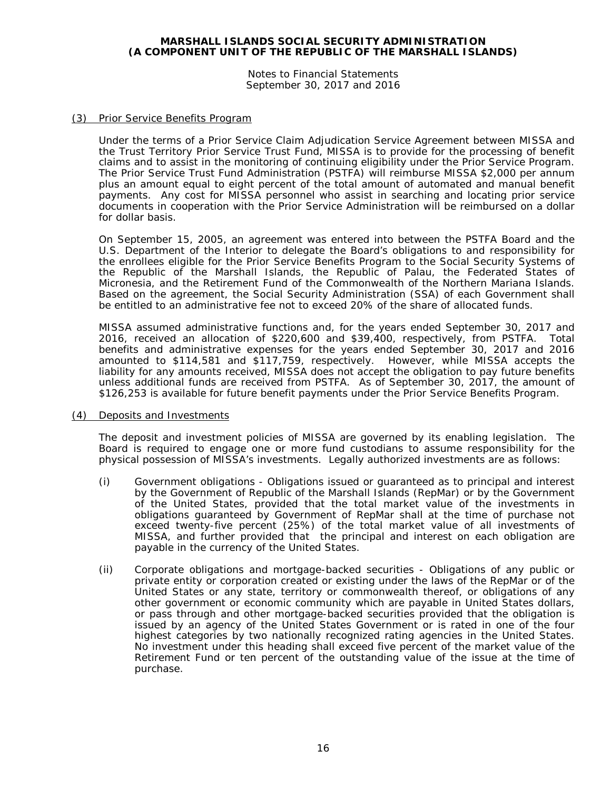Notes to Financial Statements September 30, 2017 and 2016

#### (3) Prior Service Benefits Program

Under the terms of a Prior Service Claim Adjudication Service Agreement between MISSA and the Trust Territory Prior Service Trust Fund, MISSA is to provide for the processing of benefit claims and to assist in the monitoring of continuing eligibility under the Prior Service Program. The Prior Service Trust Fund Administration (PSTFA) will reimburse MISSA \$2,000 per annum plus an amount equal to eight percent of the total amount of automated and manual benefit payments. Any cost for MISSA personnel who assist in searching and locating prior service documents in cooperation with the Prior Service Administration will be reimbursed on a dollar for dollar basis.

On September 15, 2005, an agreement was entered into between the PSTFA Board and the U.S. Department of the Interior to delegate the Board's obligations to and responsibility for the enrollees eligible for the Prior Service Benefits Program to the Social Security Systems of the Republic of the Marshall Islands, the Republic of Palau, the Federated States of Micronesia, and the Retirement Fund of the Commonwealth of the Northern Mariana Islands. Based on the agreement, the Social Security Administration (SSA) of each Government shall be entitled to an administrative fee not to exceed 20% of the share of allocated funds.

MISSA assumed administrative functions and, for the years ended September 30, 2017 and 2016, received an allocation of \$220,600 and \$39,400, respectively, from PSTFA. Total benefits and administrative expenses for the years ended September 30, 2017 and 2016 amounted to \$114,581 and \$117,759, respectively. However, while MISSA accepts the liability for any amounts received, MISSA does not accept the obligation to pay future benefits unless additional funds are received from PSTFA. As of September 30, 2017, the amount of \$126,253 is available for future benefit payments under the Prior Service Benefits Program.

#### (4) Deposits and Investments

The deposit and investment policies of MISSA are governed by its enabling legislation. The Board is required to engage one or more fund custodians to assume responsibility for the physical possession of MISSA's investments. Legally authorized investments are as follows:

- (i) Government obligations Obligations issued or guaranteed as to principal and interest by the Government of Republic of the Marshall Islands (RepMar) or by the Government of the United States, provided that the total market value of the investments in obligations guaranteed by Government of RepMar shall at the time of purchase not exceed twenty-five percent (25%) of the total market value of all investments of MISSA, and further provided that the principal and interest on each obligation are payable in the currency of the United States.
- (ii) Corporate obligations and mortgage-backed securities Obligations of any public or private entity or corporation created or existing under the laws of the RepMar or of the United States or any state, territory or commonwealth thereof, or obligations of any other government or economic community which are payable in United States dollars, or pass through and other mortgage-backed securities provided that the obligation is issued by an agency of the United States Government or is rated in one of the four highest categories by two nationally recognized rating agencies in the United States. No investment under this heading shall exceed five percent of the market value of the Retirement Fund or ten percent of the outstanding value of the issue at the time of purchase.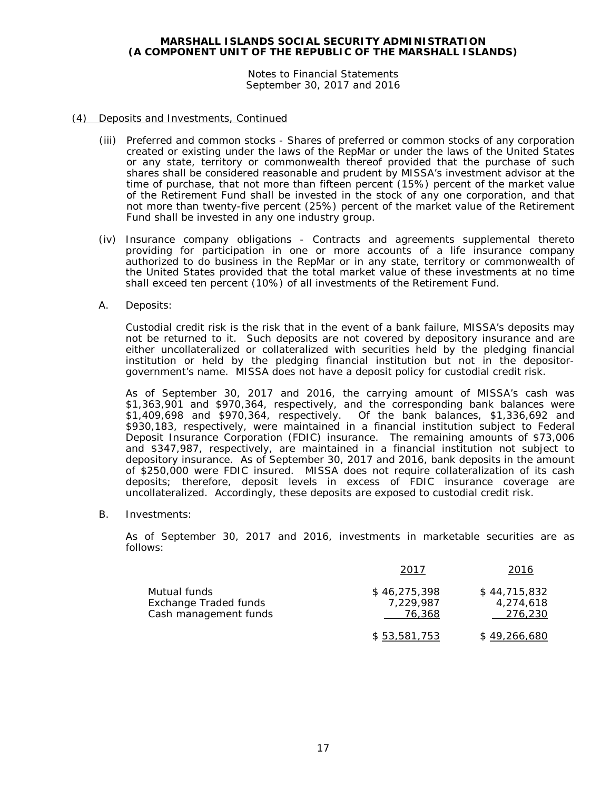Notes to Financial Statements September 30, 2017 and 2016

# (4) Deposits and Investments, Continued

- (iii) Preferred and common stocks Shares of preferred or common stocks of any corporation created or existing under the laws of the RepMar or under the laws of the United States or any state, territory or commonwealth thereof provided that the purchase of such shares shall be considered reasonable and prudent by MISSA's investment advisor at the time of purchase, that not more than fifteen percent (15%) percent of the market value of the Retirement Fund shall be invested in the stock of any one corporation, and that not more than twenty-five percent (25%) percent of the market value of the Retirement Fund shall be invested in any one industry group.
- (iv) Insurance company obligations Contracts and agreements supplemental thereto providing for participation in one or more accounts of a life insurance company authorized to do business in the RepMar or in any state, territory or commonwealth of the United States provided that the total market value of these investments at no time shall exceed ten percent (10%) of all investments of the Retirement Fund.
- A. Deposits:

Custodial credit risk is the risk that in the event of a bank failure, MISSA's deposits may not be returned to it. Such deposits are not covered by depository insurance and are either uncollateralized or collateralized with securities held by the pledging financial institution or held by the pledging financial institution but not in the depositorgovernment's name. MISSA does not have a deposit policy for custodial credit risk.

As of September 30, 2017 and 2016, the carrying amount of MISSA's cash was \$1,363,901 and \$970,364, respectively, and the corresponding bank balances were \$1,409,698 and \$970,364, respectively. Of the bank balances, \$1,336,692 and \$930,183, respectively, were maintained in a financial institution subject to Federal Deposit Insurance Corporation (FDIC) insurance. The remaining amounts of \$73,006 and \$347,987, respectively, are maintained in a financial institution not subject to depository insurance. As of September 30, 2017 and 2016, bank deposits in the amount of \$250,000 were FDIC insured. MISSA does not require collateralization of its cash deposits; therefore, deposit levels in excess of FDIC insurance coverage are uncollateralized. Accordingly, these deposits are exposed to custodial credit risk.

B. Investments:

As of September 30, 2017 and 2016, investments in marketable securities are as follows:

|                                                                | 2017                                | 2016                                 |
|----------------------------------------------------------------|-------------------------------------|--------------------------------------|
| Mutual funds<br>Exchange Traded funds<br>Cash management funds | \$46.275.398<br>7,229,987<br>76.368 | \$44.715.832<br>4,274,618<br>276,230 |
|                                                                | \$53,581,753                        | \$49.266.680                         |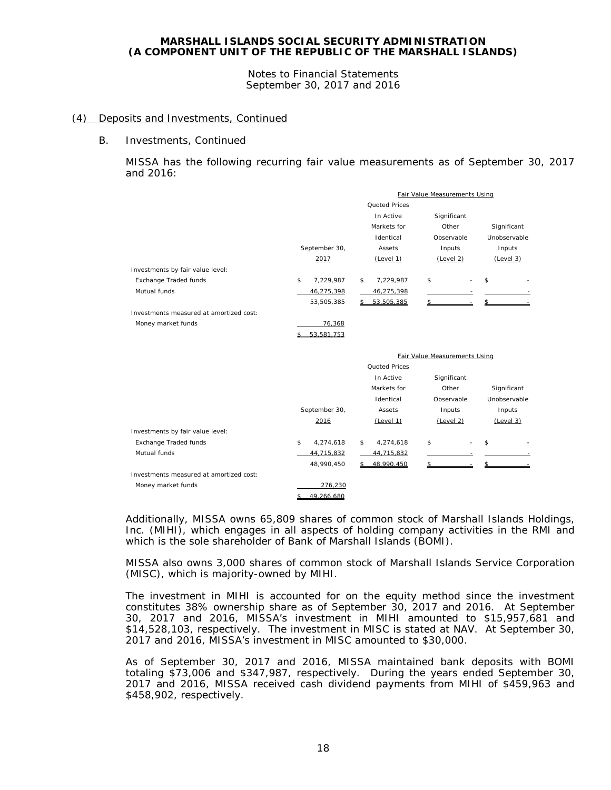Notes to Financial Statements September 30, 2017 and 2016

#### (4) Deposits and Investments, Continued

#### B. Investments, Continued

MISSA has the following recurring fair value measurements as of September 30, 2017 and 2016:

|                                         |                  |                      | Fair Value Measurements Using |              |
|-----------------------------------------|------------------|----------------------|-------------------------------|--------------|
|                                         |                  | <b>Quoted Prices</b> |                               |              |
|                                         |                  | In Active            | Significant                   |              |
|                                         |                  | Markets for          | Other                         | Significant  |
|                                         |                  | Identical            | Observable                    | Unobservable |
|                                         | September 30,    | Assets               | Inputs                        | Inputs       |
|                                         | 2017             | (Level 1)            | (Level 2)                     | (Level 3)    |
| Investments by fair value level:        |                  |                      |                               |              |
| Exchange Traded funds                   | \$<br>7,229,987  | 7,229,987<br>\$      | \$                            | \$           |
| Mutual funds                            | 46,275,398       | 46,275,398           |                               |              |
|                                         | 53,505,385       | 53,505,385<br>\$     | \$                            | \$           |
| Investments measured at amortized cost: |                  |                      |                               |              |
| Money market funds                      | 76,368           |                      |                               |              |
|                                         | 53,581,753<br>\$ |                      |                               |              |
|                                         |                  |                      |                               |              |
|                                         |                  |                      | Fair Value Measurements Using |              |
|                                         |                  | <b>Ouoted Prices</b> |                               |              |
|                                         |                  | In Active            | Significant                   |              |
|                                         |                  | Markets for          | Other                         | Significant  |
|                                         |                  | Identical            | Observable                    | Unobservable |
|                                         | September 30,    | Assets               | Inputs                        | Inputs       |
|                                         | 2016             | (Level 1)            | (Level 2)                     | (Level 3)    |
| Investments by fair value level:        |                  |                      |                               |              |
| Exchange Traded funds                   | \$<br>4,274,618  | \$<br>4,274,618      | \$                            | \$           |
| Mutual funds                            | 44,715,832       | 44,715,832           |                               |              |
|                                         | 48,990,450       | 48,990,450<br>S      |                               | \$           |
| Investments measured at amortized cost: |                  |                      |                               |              |
| Money market funds                      | 276,230          |                      |                               |              |
|                                         | 49,266,680<br>\$ |                      |                               |              |

Additionally, MISSA owns 65,809 shares of common stock of Marshall Islands Holdings, Inc. (MIHI), which engages in all aspects of holding company activities in the RMI and which is the sole shareholder of Bank of Marshall Islands (BOMI).

MISSA also owns 3,000 shares of common stock of Marshall Islands Service Corporation (MISC), which is majority-owned by MIHI.

The investment in MIHI is accounted for on the equity method since the investment constitutes 38% ownership share as of September 30, 2017 and 2016. At September 30, 2017 and 2016, MISSA's investment in MIHI amounted to \$15,957,681 and \$14,528,103, respectively. The investment in MISC is stated at NAV. At September 30, 2017 and 2016, MISSA's investment in MISC amounted to \$30,000.

As of September 30, 2017 and 2016, MISSA maintained bank deposits with BOMI totaling \$73,006 and \$347,987, respectively. During the years ended September 30, 2017 and 2016, MISSA received cash dividend payments from MIHI of \$459,963 and \$458,902, respectively.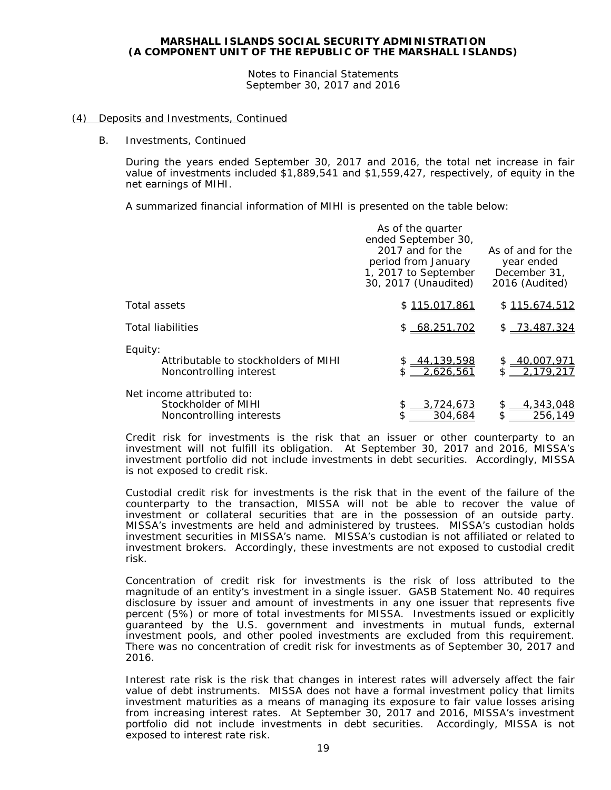Notes to Financial Statements September 30, 2017 and 2016

#### (4) Deposits and Investments, Continued

B. Investments, Continued

During the years ended September 30, 2017 and 2016, the total net increase in fair value of investments included \$1,889,541 and \$1,559,427, respectively, of equity in the net earnings of MIHI.

A summarized financial information of MIHI is presented on the table below:

|                                                                              | As of the quarter<br>ended September 30,                                                |                                                 |
|------------------------------------------------------------------------------|-----------------------------------------------------------------------------------------|-------------------------------------------------|
|                                                                              | 2017 and for the<br>period from January<br>1, 2017 to September<br>30, 2017 (Unaudited) | As of and for the<br>year ended<br>December 31, |
|                                                                              |                                                                                         | 2016 (Audited)                                  |
| Total assets                                                                 | \$115,017,861                                                                           | \$115,674,512                                   |
| <b>Total liabilities</b>                                                     | \$68,251,702                                                                            | \$ 73,487,324                                   |
| Equity:<br>Attributable to stockholders of MIHI<br>Noncontrolling interest   | \$ 44,139,598<br>$$ -2,626,561$                                                         | <u>40,007,971</u><br>2,179,217                  |
| Net income attributed to:<br>Stockholder of MIHI<br>Noncontrolling interests | 3,724,673<br>\$<br>304.684                                                              | \$<br>4,343,048<br>ፍ<br>256.1                   |

Credit risk for investments is the risk that an issuer or other counterparty to an investment will not fulfill its obligation. At September 30, 2017 and 2016, MISSA's investment portfolio did not include investments in debt securities. Accordingly, MISSA is not exposed to credit risk.

Custodial credit risk for investments is the risk that in the event of the failure of the counterparty to the transaction, MISSA will not be able to recover the value of investment or collateral securities that are in the possession of an outside party. MISSA's investments are held and administered by trustees. MISSA's custodian holds investment securities in MISSA's name. MISSA's custodian is not affiliated or related to investment brokers. Accordingly, these investments are not exposed to custodial credit risk.

Concentration of credit risk for investments is the risk of loss attributed to the magnitude of an entity's investment in a single issuer. GASB Statement No. 40 requires disclosure by issuer and amount of investments in any one issuer that represents five percent (5%) or more of total investments for MISSA. Investments issued or explicitly guaranteed by the U.S. government and investments in mutual funds, external investment pools, and other pooled investments are excluded from this requirement. There was no concentration of credit risk for investments as of September 30, 2017 and 2016.

Interest rate risk is the risk that changes in interest rates will adversely affect the fair value of debt instruments. MISSA does not have a formal investment policy that limits investment maturities as a means of managing its exposure to fair value losses arising from increasing interest rates. At September 30, 2017 and 2016, MISSA's investment portfolio did not include investments in debt securities. Accordingly, MISSA is not exposed to interest rate risk.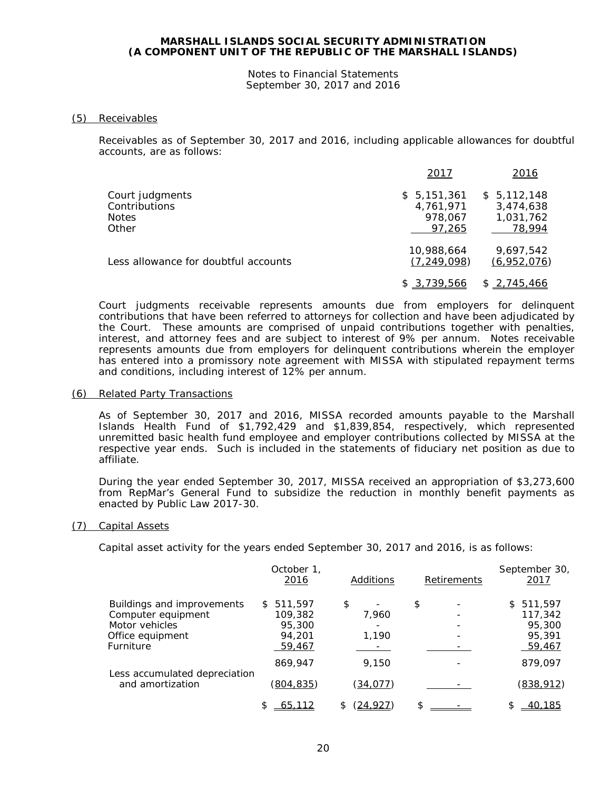Notes to Financial Statements September 30, 2017 and 2016

#### (5) Receivables

Receivables as of September 30, 2017 and 2016, including applicable allowances for doubtful accounts, are as follows:

|                                                    | 2017                                          | 2016                                            |
|----------------------------------------------------|-----------------------------------------------|-------------------------------------------------|
| Court judgments<br>Contributions<br>Notes<br>Other | \$5,151,361<br>4.761.971<br>978.067<br>97.265 | \$5,112,148<br>3,474,638<br>1,031,762<br>78.994 |
| Less allowance for doubtful accounts               | 10,988,664<br>(7, 249, 098)                   | 9,697,542<br>(6,952,076)                        |
|                                                    | \$3.739.566                                   | \$2,745,466                                     |

Court judgments receivable represents amounts due from employers for delinquent contributions that have been referred to attorneys for collection and have been adjudicated by the Court. These amounts are comprised of unpaid contributions together with penalties, interest, and attorney fees and are subject to interest of 9% per annum. Notes receivable represents amounts due from employers for delinquent contributions wherein the employer has entered into a promissory note agreement with MISSA with stipulated repayment terms and conditions, including interest of 12% per annum.

#### (6) Related Party Transactions

As of September 30, 2017 and 2016, MISSA recorded amounts payable to the Marshall Islands Health Fund of \$1,792,429 and \$1,839,854, respectively, which represented unremitted basic health fund employee and employer contributions collected by MISSA at the respective year ends. Such is included in the statements of fiduciary net position as due to affiliate.

During the year ended September 30, 2017, MISSA received an appropriation of \$3,273,600 from RepMar's General Fund to subsidize the reduction in monthly benefit payments as enacted by Public Law 2017-30.

# (7) Capital Assets

Capital asset activity for the years ended September 30, 2017 and 2016, is as follows:

|                                                                                                     | October 1,<br>2016                                 | Additions            | Retirements | September 30,<br>2017                              |  |
|-----------------------------------------------------------------------------------------------------|----------------------------------------------------|----------------------|-------------|----------------------------------------------------|--|
| Buildings and improvements<br>Computer equipment<br>Motor vehicles<br>Office equipment<br>Furniture | \$511.597<br>109,382<br>95,300<br>94,201<br>59,467 | \$<br>7,960<br>1.190 | \$          | \$511.597<br>117,342<br>95,300<br>95,391<br>59,467 |  |
| Less accumulated depreciation<br>and amortization                                                   | 869.947<br>(804,835)                               | 9.150<br>(34,077)    |             | 879.097<br>(838, 912)                              |  |
|                                                                                                     | 65.112                                             | (24.927)             |             | 40.185                                             |  |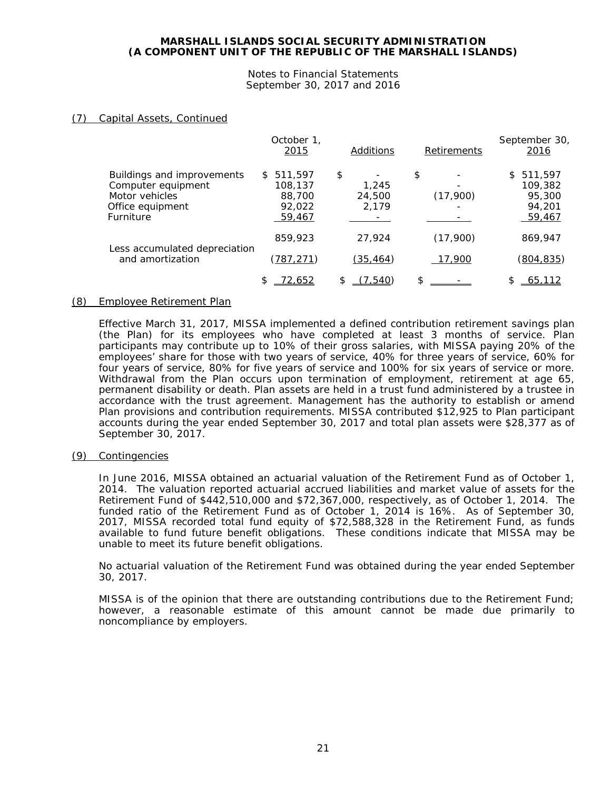Notes to Financial Statements September 30, 2017 and 2016

# (7) Capital Assets, Continued

|                                                                                                     | October 1,<br>2015                                     | Additions                      | Retirements        | September 30,<br>2016                              |  |
|-----------------------------------------------------------------------------------------------------|--------------------------------------------------------|--------------------------------|--------------------|----------------------------------------------------|--|
| Buildings and improvements<br>Computer equipment<br>Motor vehicles<br>Office equipment<br>Furniture | 511,597<br>\$<br>108,137<br>88,700<br>92.022<br>59,467 | \$<br>1,245<br>24,500<br>2.179 | \$<br>(17,900)     | \$511,597<br>109,382<br>95,300<br>94.201<br>59,467 |  |
| Less accumulated depreciation<br>and amortization                                                   | 859,923<br>(787, 271)                                  | 27.924<br>(35, 464)            | (17,900)<br>17,900 | 869,947<br>(804, 835)                              |  |
|                                                                                                     | 72.652                                                 | \$<br>(7.540)                  | \$                 | 65.112<br>S                                        |  |

# (8) Employee Retirement Plan

Effective March 31, 2017, MISSA implemented a defined contribution retirement savings plan (the Plan) for its employees who have completed at least 3 months of service. Plan participants may contribute up to 10% of their gross salaries, with MISSA paying 20% of the employees' share for those with two years of service, 40% for three years of service, 60% for four years of service, 80% for five years of service and 100% for six years of service or more. Withdrawal from the Plan occurs upon termination of employment, retirement at age 65, permanent disability or death. Plan assets are held in a trust fund administered by a trustee in accordance with the trust agreement. Management has the authority to establish or amend Plan provisions and contribution requirements. MISSA contributed \$12,925 to Plan participant accounts during the year ended September 30, 2017 and total plan assets were \$28,377 as of September 30, 2017.

# (9) Contingencies

In June 2016, MISSA obtained an actuarial valuation of the Retirement Fund as of October 1, 2014. The valuation reported actuarial accrued liabilities and market value of assets for the Retirement Fund of \$442,510,000 and \$72,367,000, respectively, as of October 1, 2014. The funded ratio of the Retirement Fund as of October 1, 2014 is 16%. As of September 30, 2017, MISSA recorded total fund equity of \$72,588,328 in the Retirement Fund, as funds available to fund future benefit obligations. These conditions indicate that MISSA may be unable to meet its future benefit obligations.

No actuarial valuation of the Retirement Fund was obtained during the year ended September 30, 2017.

MISSA is of the opinion that there are outstanding contributions due to the Retirement Fund; however, a reasonable estimate of this amount cannot be made due primarily to noncompliance by employers.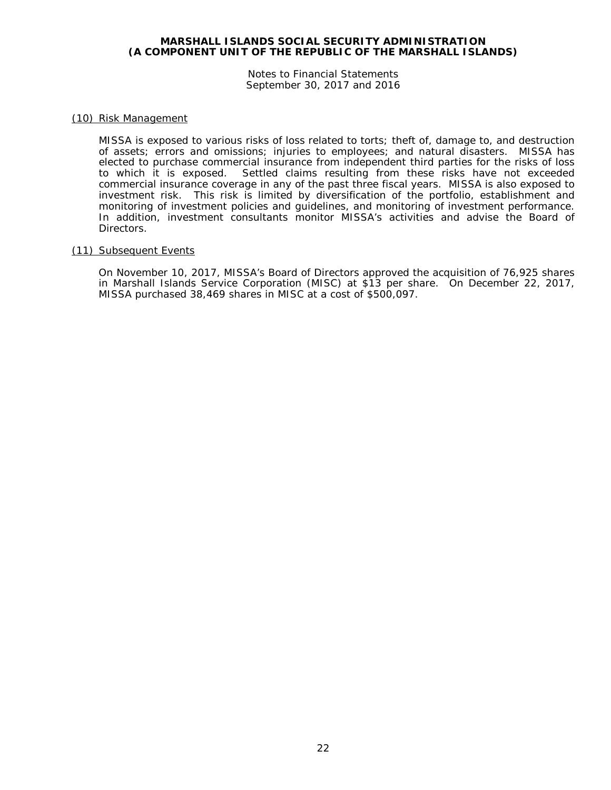Notes to Financial Statements September 30, 2017 and 2016

#### (10) Risk Management

MISSA is exposed to various risks of loss related to torts; theft of, damage to, and destruction of assets; errors and omissions; injuries to employees; and natural disasters. MISSA has elected to purchase commercial insurance from independent third parties for the risks of loss to which it is exposed. Settled claims resulting from these risks have not exceeded commercial insurance coverage in any of the past three fiscal years. MISSA is also exposed to investment risk. This risk is limited by diversification of the portfolio, establishment and monitoring of investment policies and guidelines, and monitoring of investment performance. In addition, investment consultants monitor MISSA's activities and advise the Board of Directors.

#### (11) Subsequent Events

On November 10, 2017, MISSA's Board of Directors approved the acquisition of 76,925 shares in Marshall Islands Service Corporation (MISC) at \$13 per share. On December 22, 2017, MISSA purchased 38,469 shares in MISC at a cost of \$500,097.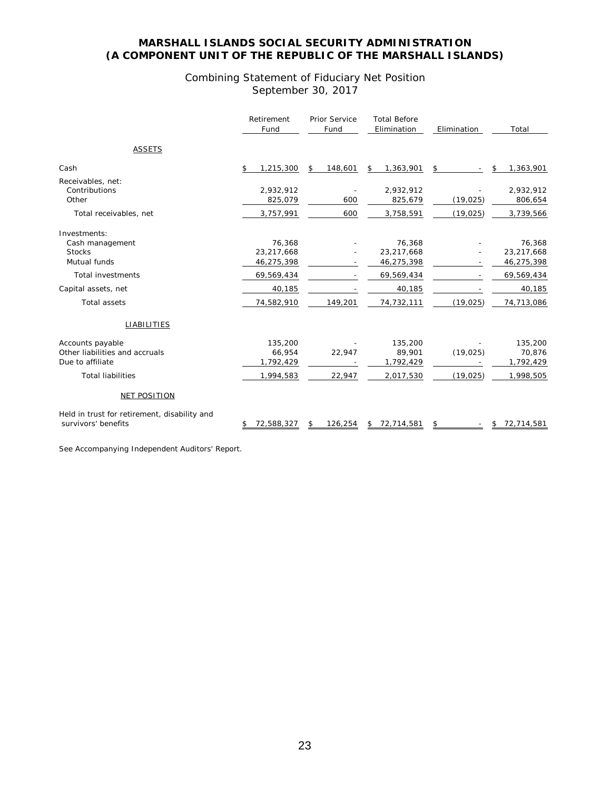# Combining Statement of Fiduciary Net Position September 30, 2017

|                                                                        | Retirement<br>Fund                 | <b>Prior Service</b><br>Fund | <b>Total Before</b><br>Elimination | Elimination | Total                              |
|------------------------------------------------------------------------|------------------------------------|------------------------------|------------------------------------|-------------|------------------------------------|
| <b>ASSETS</b>                                                          |                                    |                              |                                    |             |                                    |
| Cash                                                                   | \$<br>1,215,300                    | \$<br>148,601                | 1,363,901<br>\$                    | \$          | 1,363,901<br>\$                    |
| Receivables, net:<br>Contributions<br>Other                            | 2,932,912<br>825,079               | 600                          | 2,932,912<br>825,679               | (19, 025)   | 2,932,912<br>806,654               |
| Total receivables, net                                                 | 3,757,991                          | 600                          | 3,758,591                          | (19, 025)   | 3,739,566                          |
| Investments:<br>Cash management<br><b>Stocks</b><br>Mutual funds       | 76,368<br>23,217,668<br>46,275,398 |                              | 76,368<br>23,217,668<br>46,275,398 |             | 76,368<br>23,217,668<br>46,275,398 |
| Total investments                                                      | 69,569,434                         |                              | 69,569,434                         |             | 69,569,434                         |
| Capital assets, net                                                    | 40,185                             |                              | 40,185                             |             | 40,185                             |
| <b>Total assets</b>                                                    | 74,582,910                         | 149,201                      | 74,732,111                         | (19, 025)   | 74,713,086                         |
| LIABILITIES                                                            |                                    |                              |                                    |             |                                    |
| Accounts payable<br>Other liabilities and accruals<br>Due to affiliate | 135,200<br>66,954<br>1,792,429     | 22,947                       | 135,200<br>89,901<br>1,792,429     | (19, 025)   | 135,200<br>70,876<br>1,792,429     |
| <b>Total liabilities</b>                                               | 1,994,583                          | 22,947                       | 2,017,530                          | (19, 025)   | 1,998,505                          |
| <b>NET POSITION</b>                                                    |                                    |                              |                                    |             |                                    |
| Held in trust for retirement, disability and<br>survivors' benefits    | 72,588,327<br>\$                   | 126,254                      | 72,714,581<br>\$                   | \$          | 72,714,581<br>\$                   |

See Accompanying Independent Auditors' Report.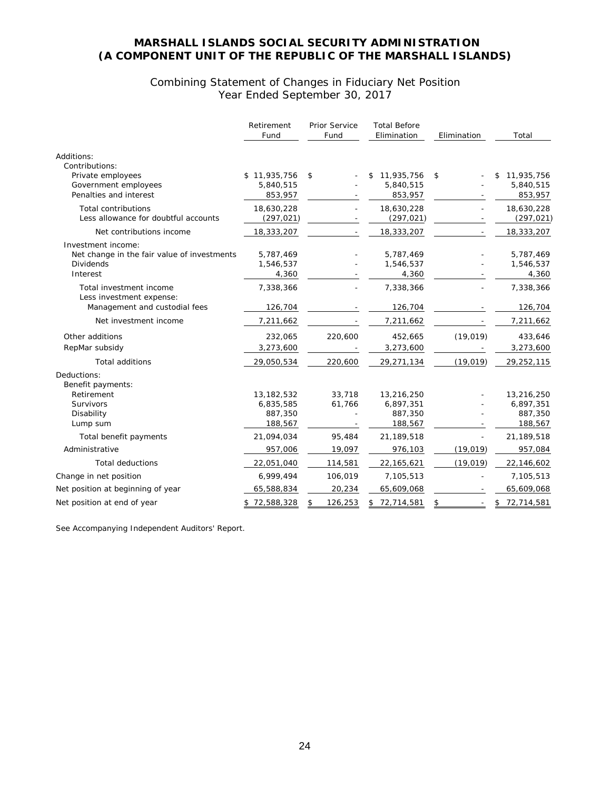# Combining Statement of Changes in Fiduciary Net Position Year Ended September 30, 2017

|                                                                                                   | Retirement<br>Fund              | Prior Service<br>Fund | <b>Total Before</b><br>Elimination | Elimination | Total                           |
|---------------------------------------------------------------------------------------------------|---------------------------------|-----------------------|------------------------------------|-------------|---------------------------------|
| Additions:<br>Contributions:                                                                      |                                 |                       |                                    |             |                                 |
| Private employees                                                                                 | 11,935,756<br>\$                | \$                    | 11,935,756<br>\$                   | \$          | 11,935,756<br>\$                |
| Government employees<br>Penalties and interest                                                    | 5,840,515<br>853,957            |                       | 5,840,515<br>853,957               |             | 5,840,515<br>853,957            |
| <b>Total contributions</b><br>Less allowance for doubtful accounts                                | 18,630,228<br>(297, 021)        |                       | 18,630,228<br>(297, 021)           |             | 18,630,228<br>(297, 021)        |
| Net contributions income                                                                          | 18,333,207                      |                       | 18,333,207                         |             | 18,333,207                      |
| Investment income:<br>Net change in the fair value of investments<br><b>Dividends</b><br>Interest | 5,787,469<br>1,546,537<br>4,360 |                       | 5,787,469<br>1,546,537<br>4,360    |             | 5,787,469<br>1,546,537<br>4,360 |
| Total investment income<br>Less investment expense:                                               | 7,338,366                       |                       | 7,338,366                          |             | 7,338,366                       |
| Management and custodial fees                                                                     | 126,704                         |                       | 126,704                            |             | 126,704                         |
| Net investment income                                                                             | 7,211,662                       |                       | 7,211,662                          |             | 7,211,662                       |
| Other additions                                                                                   | 232,065                         | 220,600               | 452,665                            | (19, 019)   | 433,646                         |
| RepMar subsidy                                                                                    | 3,273,600                       |                       | 3,273,600                          |             | 3,273,600                       |
| <b>Total additions</b>                                                                            | 29,050,534                      | 220,600               | 29,271,134                         | (19, 019)   | 29, 252, 115                    |
| Deductions:<br>Benefit payments:                                                                  |                                 |                       |                                    |             |                                 |
| Retirement                                                                                        | 13, 182, 532                    | 33,718                | 13,216,250                         |             | 13,216,250                      |
| Survivors<br>Disability                                                                           | 6,835,585<br>887,350            | 61,766                | 6,897,351<br>887,350               |             | 6,897,351<br>887,350            |
| Lump sum                                                                                          | 188,567                         |                       | 188,567                            |             | 188,567                         |
| Total benefit payments                                                                            | 21,094,034                      | 95,484                | 21,189,518                         |             | 21,189,518                      |
| Administrative                                                                                    | 957,006                         | 19,097                | 976,103                            | (19, 019)   | 957,084                         |
| <b>Total deductions</b>                                                                           | 22,051,040                      | 114,581               | 22,165,621                         | (19, 019)   | 22,146,602                      |
| Change in net position                                                                            | 6,999,494                       | 106,019               | 7,105,513                          |             | 7,105,513                       |
| Net position at beginning of year                                                                 | 65,588,834                      | 20,234                | 65,609,068                         |             | 65,609,068                      |
| Net position at end of year                                                                       | \$72,588,328                    | 126,253<br>\$         | 72,714,581<br>\$                   | \$          | 72,714,581<br>\$                |

See Accompanying Independent Auditors' Report.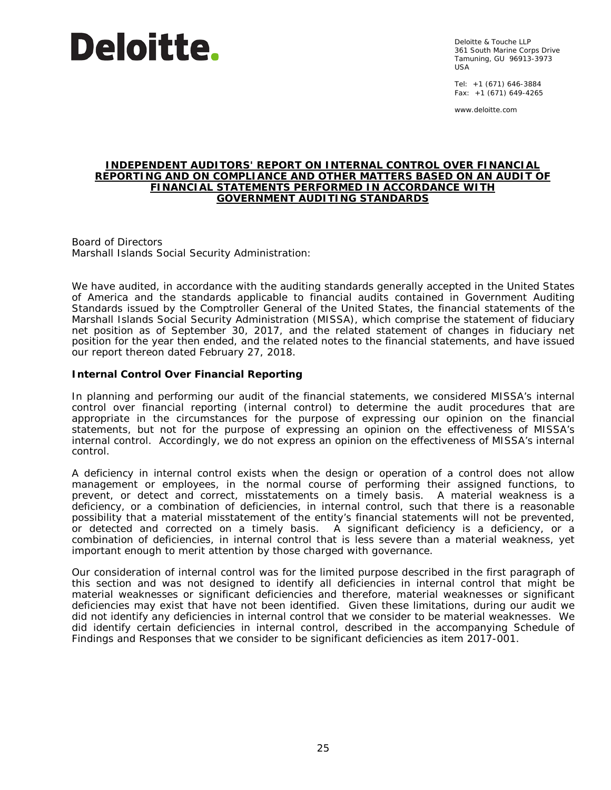

Deloitte & Touche LLP 361 South Marine Corps Drive Tamuning, GU 96913-3973 USA

Tel: +1 (671) 646-3884 Fax: +1 (671) 649-4265

www.deloitte.com

#### **INDEPENDENT AUDITORS' REPORT ON INTERNAL CONTROL OVER FINANCIAL REPORTING AND ON COMPLIANCE AND OTHER MATTERS BASED ON AN AUDIT OF FINANCIAL STATEMENTS PERFORMED IN ACCORDANCE WITH**  *GOVERNMENT AUDITING STANDARDS*

Board of Directors Marshall Islands Social Security Administration:

We have audited, in accordance with the auditing standards generally accepted in the United States of America and the standards applicable to financial audits contained in *Government Auditing Standards* issued by the Comptroller General of the United States, the financial statements of the Marshall Islands Social Security Administration (MISSA), which comprise the statement of fiduciary net position as of September 30, 2017, and the related statement of changes in fiduciary net position for the year then ended, and the related notes to the financial statements, and have issued our report thereon dated February 27, 2018.

# **Internal Control Over Financial Reporting**

In planning and performing our audit of the financial statements, we considered MISSA's internal control over financial reporting (internal control) to determine the audit procedures that are appropriate in the circumstances for the purpose of expressing our opinion on the financial statements, but not for the purpose of expressing an opinion on the effectiveness of MISSA's internal control. Accordingly, we do not express an opinion on the effectiveness of MISSA's internal control.

A *deficiency in internal control* exists when the design or operation of a control does not allow management or employees, in the normal course of performing their assigned functions, to prevent, or detect and correct, misstatements on a timely basis. A *material weakness* is a deficiency, or a combination of deficiencies, in internal control, such that there is a reasonable possibility that a material misstatement of the entity's financial statements will not be prevented, or detected and corrected on a timely basis. A *significant deficiency* is a deficiency, or a combination of deficiencies, in internal control that is less severe than a material weakness, yet important enough to merit attention by those charged with governance.

Our consideration of internal control was for the limited purpose described in the first paragraph of this section and was not designed to identify all deficiencies in internal control that might be material weaknesses or significant deficiencies and therefore, material weaknesses or significant deficiencies may exist that have not been identified. Given these limitations, during our audit we did not identify any deficiencies in internal control that we consider to be material weaknesses. We did identify certain deficiencies in internal control, described in the accompanying Schedule of Findings and Responses that we consider to be significant deficiencies as item 2017-001.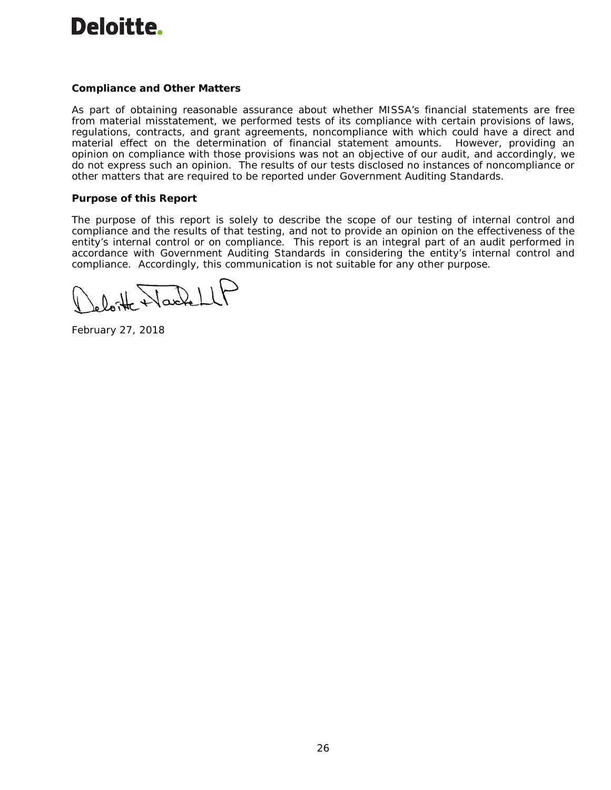# Deloitte.

# **Compliance and Other Matters**

As part of obtaining reasonable assurance about whether MISSA's financial statements are free from material misstatement, we performed tests of its compliance with certain provisions of laws, regulations, contracts, and grant agreements, noncompliance with which could have a direct and material effect on the determination of financial statement amounts. However, providing an opinion on compliance with those provisions was not an objective of our audit, and accordingly, we do not express such an opinion. The results of our tests disclosed no instances of noncompliance or other matters that are required to be reported under *Government Auditing Standards*.

# **Purpose of this Report**

The purpose of this report is solely to describe the scope of our testing of internal control and compliance and the results of that testing, and not to provide an opinion on the effectiveness of the entity's internal control or on compliance. This report is an integral part of an audit performed in accordance with *Government Auditing Standards* in considering the entity's internal control and compliance. Accordingly, this communication is not suitable for any other purpose.

February 27, 2018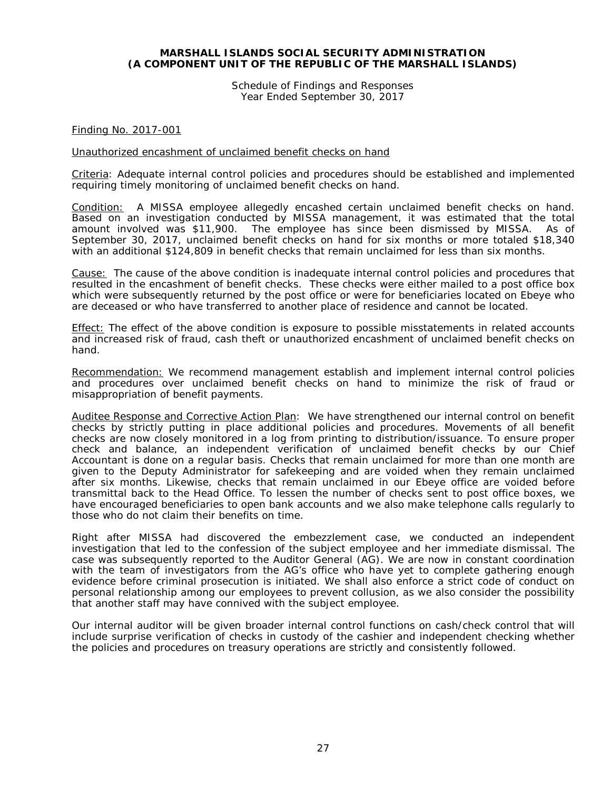Schedule of Findings and Responses Year Ended September 30, 2017

#### Finding No. 2017-001

#### Unauthorized encashment of unclaimed benefit checks on hand

Criteria: Adequate internal control policies and procedures should be established and implemented requiring timely monitoring of unclaimed benefit checks on hand.

Condition: A MISSA employee allegedly encashed certain unclaimed benefit checks on hand. Based on an investigation conducted by MISSA management, it was estimated that the total amount involved was \$11,900. The employee has since been dismissed by MISSA. As of The employee has since been dismissed by MISSA. As of September 30, 2017, unclaimed benefit checks on hand for six months or more totaled \$18,340 with an additional \$124,809 in benefit checks that remain unclaimed for less than six months.

Cause: The cause of the above condition is inadequate internal control policies and procedures that resulted in the encashment of benefit checks. These checks were either mailed to a post office box which were subsequently returned by the post office or were for beneficiaries located on Ebeye who are deceased or who have transferred to another place of residence and cannot be located.

**Effect:** The effect of the above condition is exposure to possible misstatements in related accounts and increased risk of fraud, cash theft or unauthorized encashment of unclaimed benefit checks on hand.

Recommendation: We recommend management establish and implement internal control policies and procedures over unclaimed benefit checks on hand to minimize the risk of fraud or misappropriation of benefit payments.

Auditee Response and Corrective Action Plan: We have strengthened our internal control on benefit checks by strictly putting in place additional policies and procedures. Movements of all benefit checks are now closely monitored in a log from printing to distribution/issuance. To ensure proper check and balance, an independent verification of unclaimed benefit checks by our Chief Accountant is done on a regular basis. Checks that remain unclaimed for more than one month are given to the Deputy Administrator for safekeeping and are voided when they remain unclaimed after six months. Likewise, checks that remain unclaimed in our Ebeye office are voided before transmittal back to the Head Office. To lessen the number of checks sent to post office boxes, we have encouraged beneficiaries to open bank accounts and we also make telephone calls regularly to those who do not claim their benefits on time.

Right after MISSA had discovered the embezzlement case, we conducted an independent investigation that led to the confession of the subject employee and her immediate dismissal. The case was subsequently reported to the Auditor General (AG). We are now in constant coordination with the team of investigators from the AG's office who have yet to complete gathering enough evidence before criminal prosecution is initiated. We shall also enforce a strict code of conduct on personal relationship among our employees to prevent collusion, as we also consider the possibility that another staff may have connived with the subject employee.

Our internal auditor will be given broader internal control functions on cash/check control that will include surprise verification of checks in custody of the cashier and independent checking whether the policies and procedures on treasury operations are strictly and consistently followed.